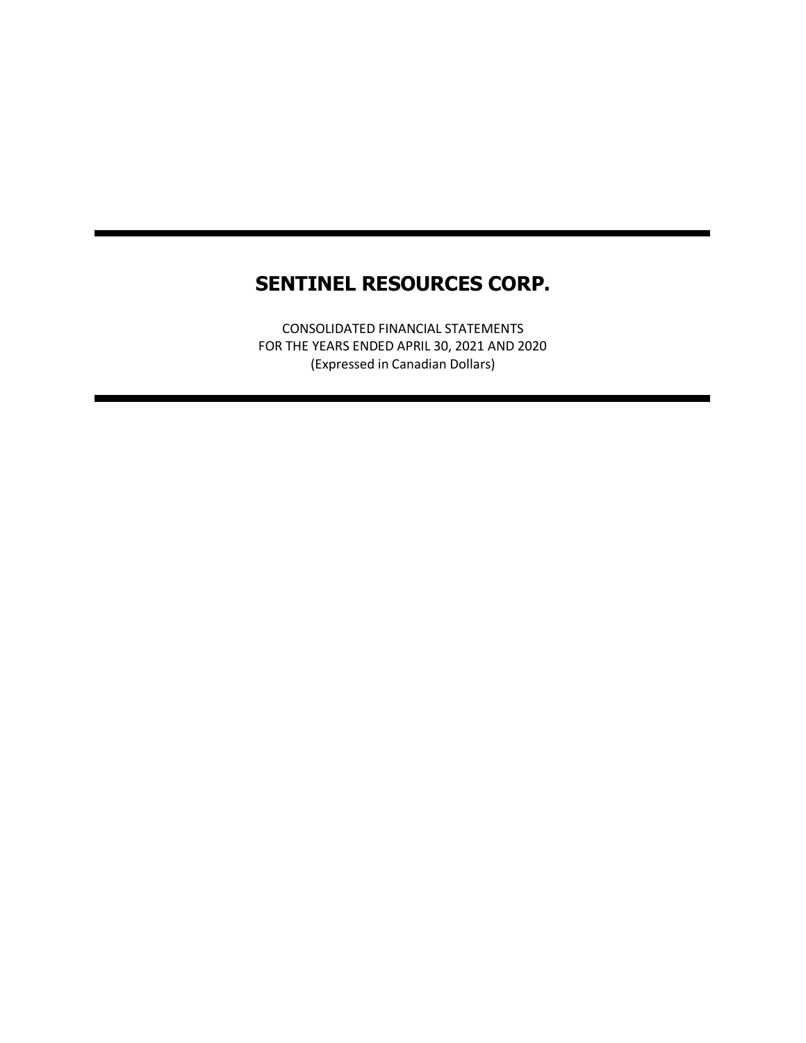# **SENTINEL RESOURCES CORP.**

CONSOLIDATED FINANCIAL STATEMENTS FOR THE YEARS ENDED APRIL 30, 2021 AND 2020 (Expressed in Canadian Dollars)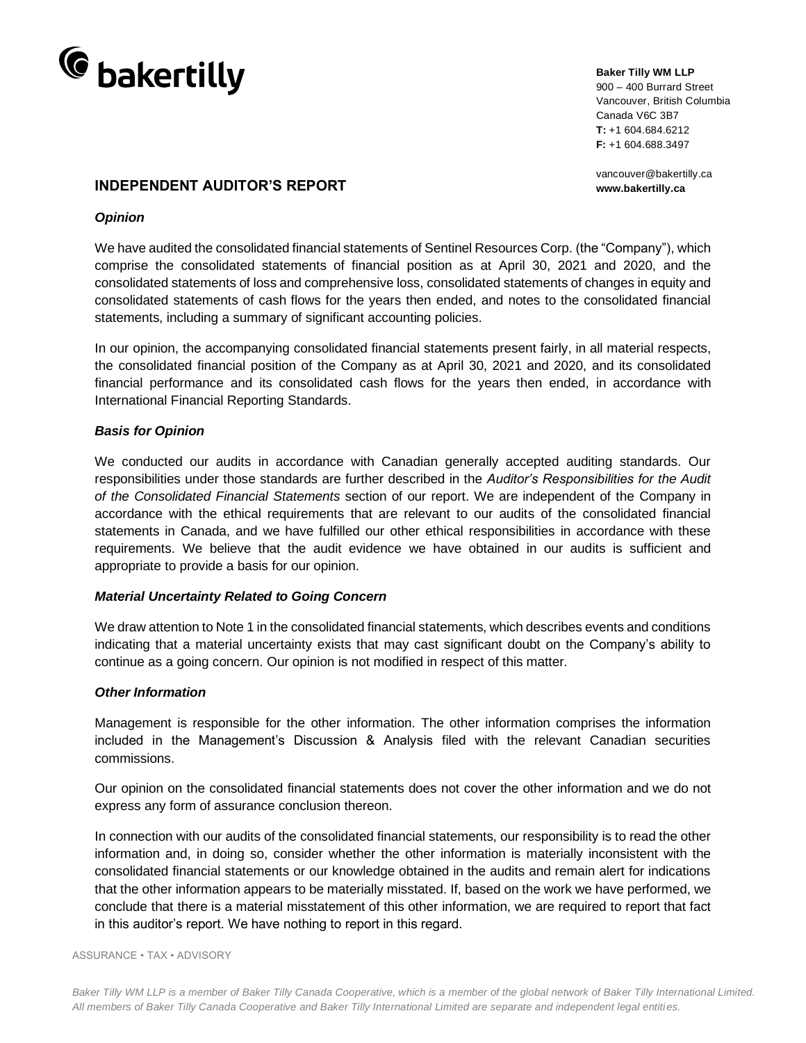

**Baker Tilly WM LLP**

900 – 400 Burrard Street Vancouver, British Columbia Canada V6C 3B7 **T:** +1 604.684.6212 **F:** +1 604.688.3497

vancouver@bakertilly.ca

# **INDEPENDENT AUDITOR'S REPORT www.bakertilly.ca**

#### *Opinion*

We have audited the consolidated financial statements of Sentinel Resources Corp. (the "Company"), which comprise the consolidated statements of financial position as at April 30, 2021 and 2020, and the consolidated statements of loss and comprehensive loss, consolidated statements of changes in equity and consolidated statements of cash flows for the years then ended, and notes to the consolidated financial statements, including a summary of significant accounting policies.

In our opinion, the accompanying consolidated financial statements present fairly, in all material respects, the consolidated financial position of the Company as at April 30, 2021 and 2020, and its consolidated financial performance and its consolidated cash flows for the years then ended, in accordance with International Financial Reporting Standards.

### *Basis for Opinion*

We conducted our audits in accordance with Canadian generally accepted auditing standards. Our responsibilities under those standards are further described in the *Auditor's Responsibilities for the Audit of the Consolidated Financial Statements* section of our report. We are independent of the Company in accordance with the ethical requirements that are relevant to our audits of the consolidated financial statements in Canada, and we have fulfilled our other ethical responsibilities in accordance with these requirements. We believe that the audit evidence we have obtained in our audits is sufficient and appropriate to provide a basis for our opinion.

#### *Material Uncertainty Related to Going Concern*

We draw attention to Note 1 in the consolidated financial statements, which describes events and conditions indicating that a material uncertainty exists that may cast significant doubt on the Company's ability to continue as a going concern. Our opinion is not modified in respect of this matter.

#### *Other Information*

Management is responsible for the other information. The other information comprises the information included in the Management's Discussion & Analysis filed with the relevant Canadian securities commissions.

Our opinion on the consolidated financial statements does not cover the other information and we do not express any form of assurance conclusion thereon.

In connection with our audits of the consolidated financial statements, our responsibility is to read the other information and, in doing so, consider whether the other information is materially inconsistent with the consolidated financial statements or our knowledge obtained in the audits and remain alert for indications that the other information appears to be materially misstated. If, based on the work we have performed, we conclude that there is a material misstatement of this other information, we are required to report that fact in this auditor's report. We have nothing to report in this regard.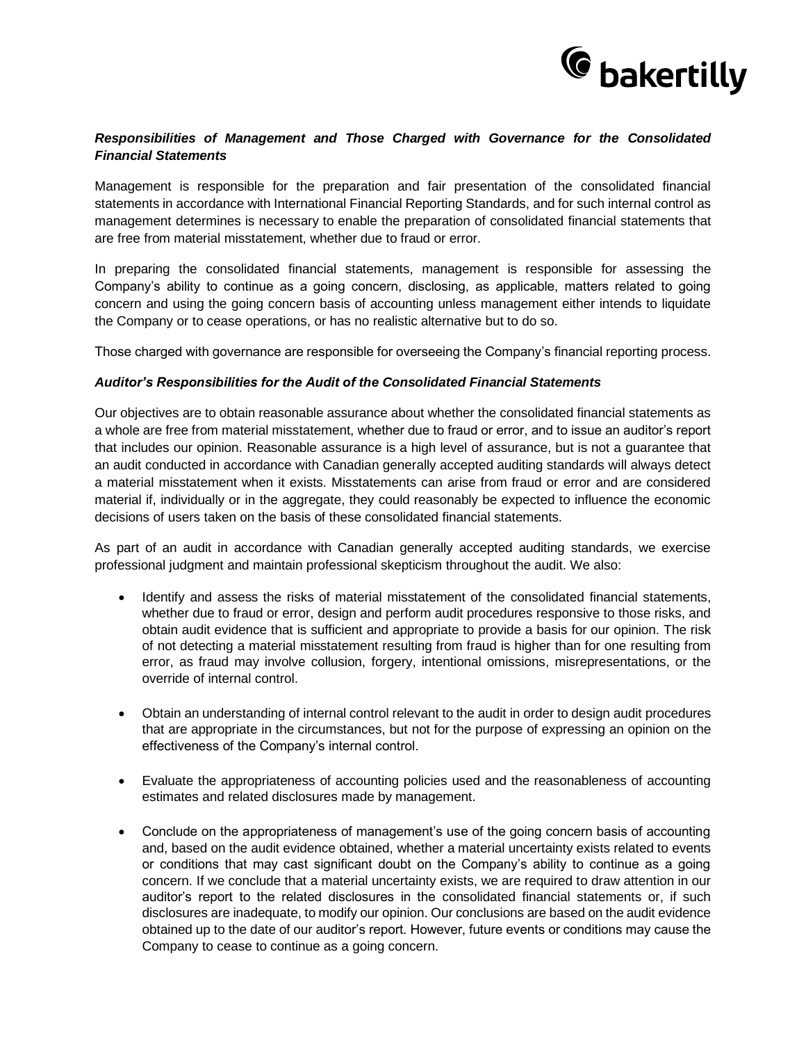

## *Responsibilities of Management and Those Charged with Governance for the Consolidated Financial Statements*

Management is responsible for the preparation and fair presentation of the consolidated financial statements in accordance with International Financial Reporting Standards, and for such internal control as management determines is necessary to enable the preparation of consolidated financial statements that are free from material misstatement, whether due to fraud or error.

In preparing the consolidated financial statements, management is responsible for assessing the Company's ability to continue as a going concern, disclosing, as applicable, matters related to going concern and using the going concern basis of accounting unless management either intends to liquidate the Company or to cease operations, or has no realistic alternative but to do so.

Those charged with governance are responsible for overseeing the Company's financial reporting process.

#### *Auditor's Responsibilities for the Audit of the Consolidated Financial Statements*

Our objectives are to obtain reasonable assurance about whether the consolidated financial statements as a whole are free from material misstatement, whether due to fraud or error, and to issue an auditor's report that includes our opinion. Reasonable assurance is a high level of assurance, but is not a guarantee that an audit conducted in accordance with Canadian generally accepted auditing standards will always detect a material misstatement when it exists. Misstatements can arise from fraud or error and are considered material if, individually or in the aggregate, they could reasonably be expected to influence the economic decisions of users taken on the basis of these consolidated financial statements.

As part of an audit in accordance with Canadian generally accepted auditing standards, we exercise professional judgment and maintain professional skepticism throughout the audit. We also:

- Identify and assess the risks of material misstatement of the consolidated financial statements, whether due to fraud or error, design and perform audit procedures responsive to those risks, and obtain audit evidence that is sufficient and appropriate to provide a basis for our opinion. The risk of not detecting a material misstatement resulting from fraud is higher than for one resulting from error, as fraud may involve collusion, forgery, intentional omissions, misrepresentations, or the override of internal control.
- Obtain an understanding of internal control relevant to the audit in order to design audit procedures that are appropriate in the circumstances, but not for the purpose of expressing an opinion on the effectiveness of the Company's internal control.
- Evaluate the appropriateness of accounting policies used and the reasonableness of accounting estimates and related disclosures made by management.
- Conclude on the appropriateness of management's use of the going concern basis of accounting and, based on the audit evidence obtained, whether a material uncertainty exists related to events or conditions that may cast significant doubt on the Company's ability to continue as a going concern. If we conclude that a material uncertainty exists, we are required to draw attention in our auditor's report to the related disclosures in the consolidated financial statements or, if such disclosures are inadequate, to modify our opinion. Our conclusions are based on the audit evidence obtained up to the date of our auditor's report. However, future events or conditions may cause the Company to cease to continue as a going concern.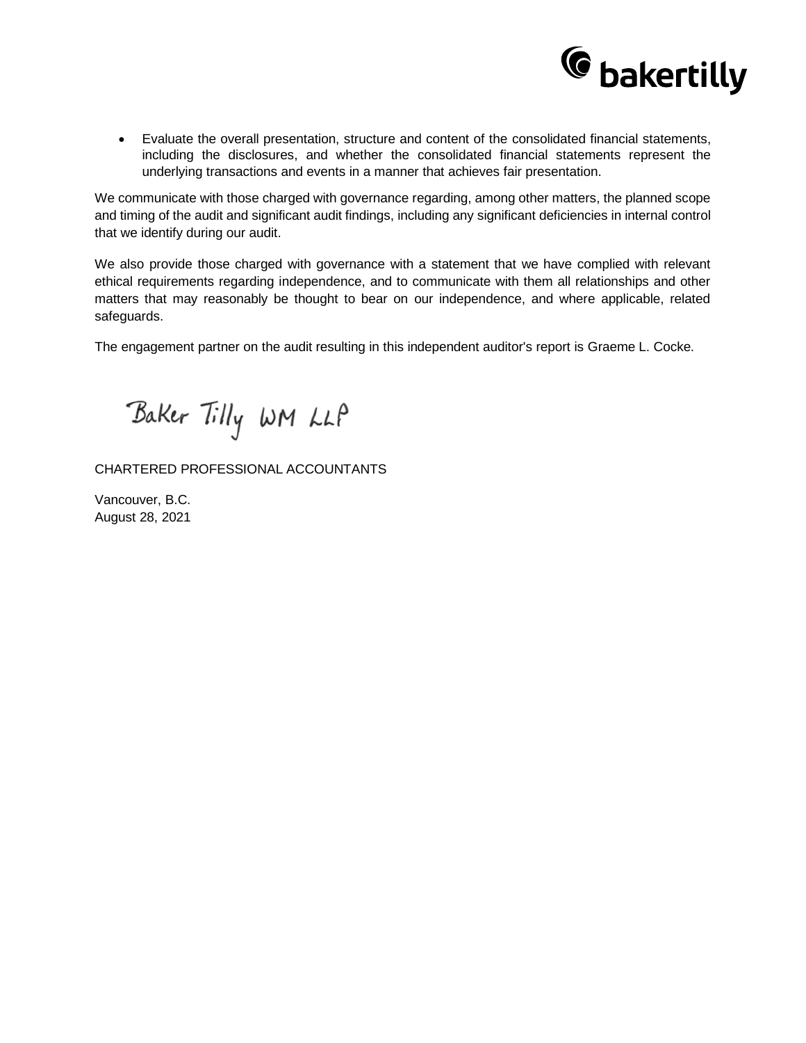

• Evaluate the overall presentation, structure and content of the consolidated financial statements, including the disclosures, and whether the consolidated financial statements represent the underlying transactions and events in a manner that achieves fair presentation.

We communicate with those charged with governance regarding, among other matters, the planned scope and timing of the audit and significant audit findings, including any significant deficiencies in internal control that we identify during our audit.

We also provide those charged with governance with a statement that we have complied with relevant ethical requirements regarding independence, and to communicate with them all relationships and other matters that may reasonably be thought to bear on our independence, and where applicable, related safeguards.

The engagement partner on the audit resulting in this independent auditor's report is Graeme L. Cocke.

Baker Tilly WM LLP

CHARTERED PROFESSIONAL ACCOUNTANTS

Vancouver, B.C. August 28, 2021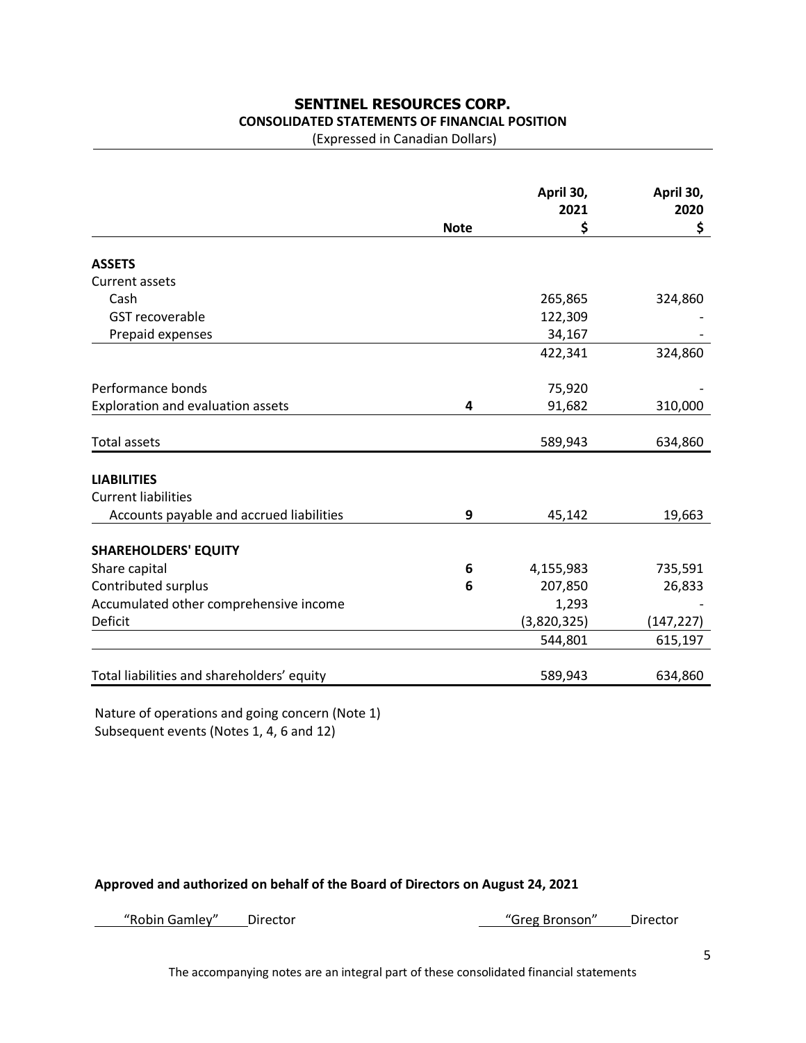### **SENTINEL RESOURCES CORP. CONSOLIDATED STATEMENTS OF FINANCIAL POSITION**

(Expressed in Canadian Dollars)

|                                            |             | April 30,   | April 30,  |
|--------------------------------------------|-------------|-------------|------------|
|                                            |             | 2021        | 2020       |
|                                            | <b>Note</b> | \$          | \$         |
| <b>ASSETS</b>                              |             |             |            |
| Current assets                             |             |             |            |
| Cash                                       |             | 265,865     | 324,860    |
| <b>GST recoverable</b>                     |             | 122,309     |            |
| Prepaid expenses                           |             | 34,167      |            |
|                                            |             | 422,341     | 324,860    |
| Performance bonds                          |             | 75,920      |            |
| Exploration and evaluation assets          | 4           | 91,682      | 310,000    |
| <b>Total assets</b>                        |             | 589,943     | 634,860    |
|                                            |             |             |            |
| <b>LIABILITIES</b>                         |             |             |            |
| <b>Current liabilities</b>                 |             |             |            |
| Accounts payable and accrued liabilities   | 9           | 45,142      | 19,663     |
| <b>SHAREHOLDERS' EQUITY</b>                |             |             |            |
| Share capital                              | 6           | 4,155,983   | 735,591    |
| Contributed surplus                        | 6           | 207,850     | 26,833     |
| Accumulated other comprehensive income     |             | 1,293       |            |
| Deficit                                    |             | (3,820,325) | (147, 227) |
|                                            |             | 544,801     | 615,197    |
| Total liabilities and shareholders' equity |             | 589,943     | 634,860    |

Nature of operations and going concern (Note 1) Subsequent events (Notes 1, 4, 6 and 12)

**Approved and authorized on behalf of the Board of Directors on August 24, 2021**

"Robin Gamley" Director "Greg Bronson" Director

The accompanying notes are an integral part of these consolidated financial statements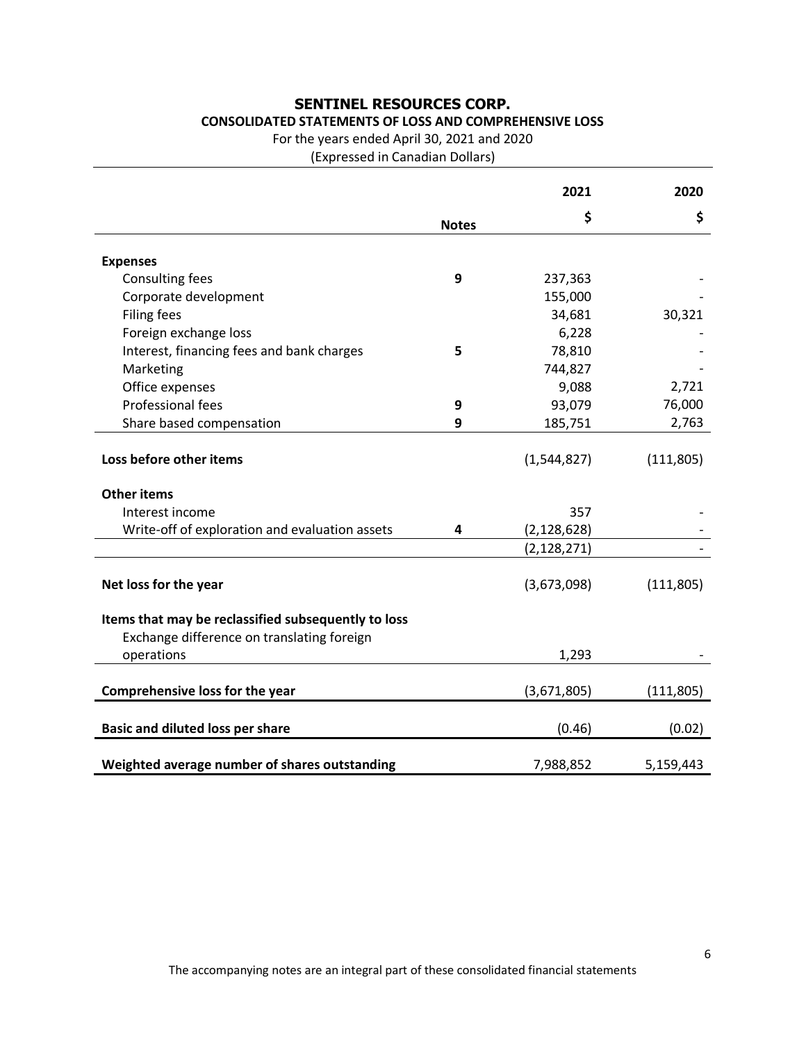## **SENTINEL RESOURCES CORP. CONSOLIDATED STATEMENTS OF LOSS AND COMPREHENSIVE LOSS**

# For the years ended April 30, 2021 and 2020

(Expressed in Canadian Dollars)

|                                                                                                   |              | 2021          | 2020       |
|---------------------------------------------------------------------------------------------------|--------------|---------------|------------|
|                                                                                                   | <b>Notes</b> | \$            | \$         |
| <b>Expenses</b>                                                                                   |              |               |            |
| Consulting fees                                                                                   | 9            | 237,363       |            |
| Corporate development                                                                             |              | 155,000       |            |
| <b>Filing fees</b>                                                                                |              | 34,681        | 30,321     |
| Foreign exchange loss                                                                             |              | 6,228         |            |
| Interest, financing fees and bank charges                                                         | 5            | 78,810        |            |
| Marketing                                                                                         |              | 744,827       |            |
| Office expenses                                                                                   |              | 9,088         | 2,721      |
| <b>Professional fees</b>                                                                          | 9            | 93,079        | 76,000     |
| Share based compensation                                                                          | 9            | 185,751       | 2,763      |
| Loss before other items                                                                           |              | (1,544,827)   | (111, 805) |
| <b>Other items</b>                                                                                |              |               |            |
| Interest income                                                                                   |              | 357           |            |
| Write-off of exploration and evaluation assets                                                    | 4            | (2, 128, 628) |            |
|                                                                                                   |              | (2, 128, 271) |            |
| Net loss for the year                                                                             |              | (3,673,098)   | (111, 805) |
| Items that may be reclassified subsequently to loss<br>Exchange difference on translating foreign |              |               |            |
| operations                                                                                        |              | 1,293         |            |
| Comprehensive loss for the year                                                                   |              | (3,671,805)   | (111, 805) |
| <b>Basic and diluted loss per share</b>                                                           |              | (0.46)        | (0.02)     |
| Weighted average number of shares outstanding                                                     |              | 7,988,852     | 5,159,443  |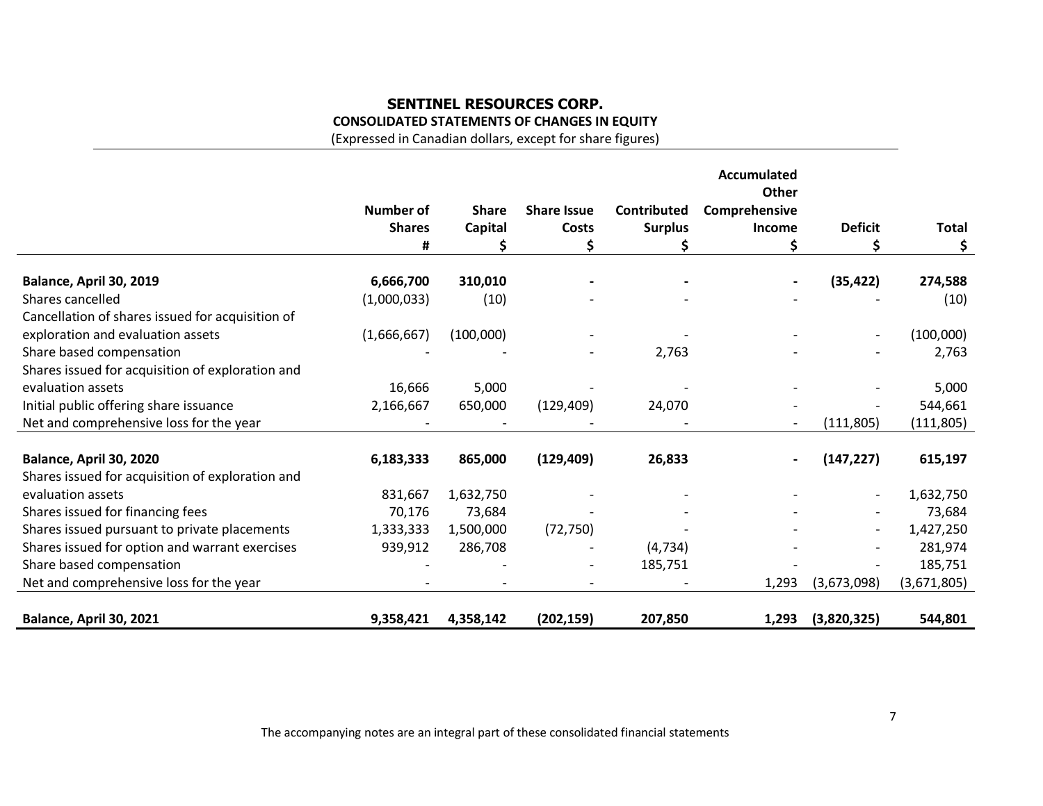# **SENTINEL RESOURCES CORP. CONSOLIDATED STATEMENTS OF CHANGES IN EQUITY**

(Expressed in Canadian dollars, except for share figures)

|           |                                                                                                                                          |                                                                                                                     |                                                                             | <b>Accumulated</b>                                        |                                                  |                                                          |
|-----------|------------------------------------------------------------------------------------------------------------------------------------------|---------------------------------------------------------------------------------------------------------------------|-----------------------------------------------------------------------------|-----------------------------------------------------------|--------------------------------------------------|----------------------------------------------------------|
|           |                                                                                                                                          |                                                                                                                     |                                                                             |                                                           |                                                  |                                                          |
|           |                                                                                                                                          |                                                                                                                     |                                                                             |                                                           |                                                  | <b>Total</b>                                             |
| #         | Ś.                                                                                                                                       | Ś                                                                                                                   | S                                                                           |                                                           | Ś                                                | \$                                                       |
|           |                                                                                                                                          |                                                                                                                     |                                                                             |                                                           |                                                  |                                                          |
|           |                                                                                                                                          |                                                                                                                     |                                                                             |                                                           |                                                  | 274,588                                                  |
|           |                                                                                                                                          |                                                                                                                     |                                                                             |                                                           |                                                  | (10)                                                     |
|           |                                                                                                                                          |                                                                                                                     |                                                                             |                                                           |                                                  |                                                          |
|           |                                                                                                                                          |                                                                                                                     |                                                                             |                                                           |                                                  | (100,000)                                                |
|           |                                                                                                                                          |                                                                                                                     | 2,763                                                                       |                                                           |                                                  | 2,763                                                    |
|           |                                                                                                                                          |                                                                                                                     |                                                                             |                                                           |                                                  |                                                          |
| 16,666    | 5,000                                                                                                                                    |                                                                                                                     |                                                                             |                                                           |                                                  | 5,000                                                    |
| 2,166,667 | 650,000                                                                                                                                  | (129, 409)                                                                                                          | 24,070                                                                      |                                                           |                                                  | 544,661                                                  |
|           |                                                                                                                                          |                                                                                                                     |                                                                             |                                                           | (111, 805)                                       | (111, 805)                                               |
|           |                                                                                                                                          |                                                                                                                     |                                                                             |                                                           |                                                  |                                                          |
|           |                                                                                                                                          |                                                                                                                     |                                                                             |                                                           |                                                  | 615,197                                                  |
|           |                                                                                                                                          |                                                                                                                     |                                                                             |                                                           |                                                  |                                                          |
|           |                                                                                                                                          |                                                                                                                     |                                                                             |                                                           |                                                  | 1,632,750                                                |
|           |                                                                                                                                          |                                                                                                                     |                                                                             |                                                           |                                                  | 73,684                                                   |
|           |                                                                                                                                          |                                                                                                                     |                                                                             |                                                           |                                                  | 1,427,250                                                |
| 939,912   | 286,708                                                                                                                                  |                                                                                                                     | (4, 734)                                                                    |                                                           |                                                  | 281,974                                                  |
|           |                                                                                                                                          |                                                                                                                     | 185,751                                                                     |                                                           |                                                  | 185,751                                                  |
|           |                                                                                                                                          |                                                                                                                     |                                                                             | 1,293                                                     | (3,673,098)                                      | (3,671,805)                                              |
|           |                                                                                                                                          |                                                                                                                     |                                                                             |                                                           |                                                  | 544,801                                                  |
|           | <b>Number of</b><br><b>Shares</b><br>6,666,700<br>(1,000,033)<br>(1,666,667)<br>6,183,333<br>831,667<br>70,176<br>1,333,333<br>9,358,421 | <b>Share</b><br>Capital<br>310,010<br>(10)<br>(100,000)<br>865,000<br>1,632,750<br>73,684<br>1,500,000<br>4,358,142 | <b>Share Issue</b><br><b>Costs</b><br>(129, 409)<br>(72, 750)<br>(202, 159) | <b>Contributed</b><br><b>Surplus</b><br>26,833<br>207,850 | Other<br>Comprehensive<br><b>Income</b><br>1,293 | <b>Deficit</b><br>(35, 422)<br>(147, 227)<br>(3,820,325) |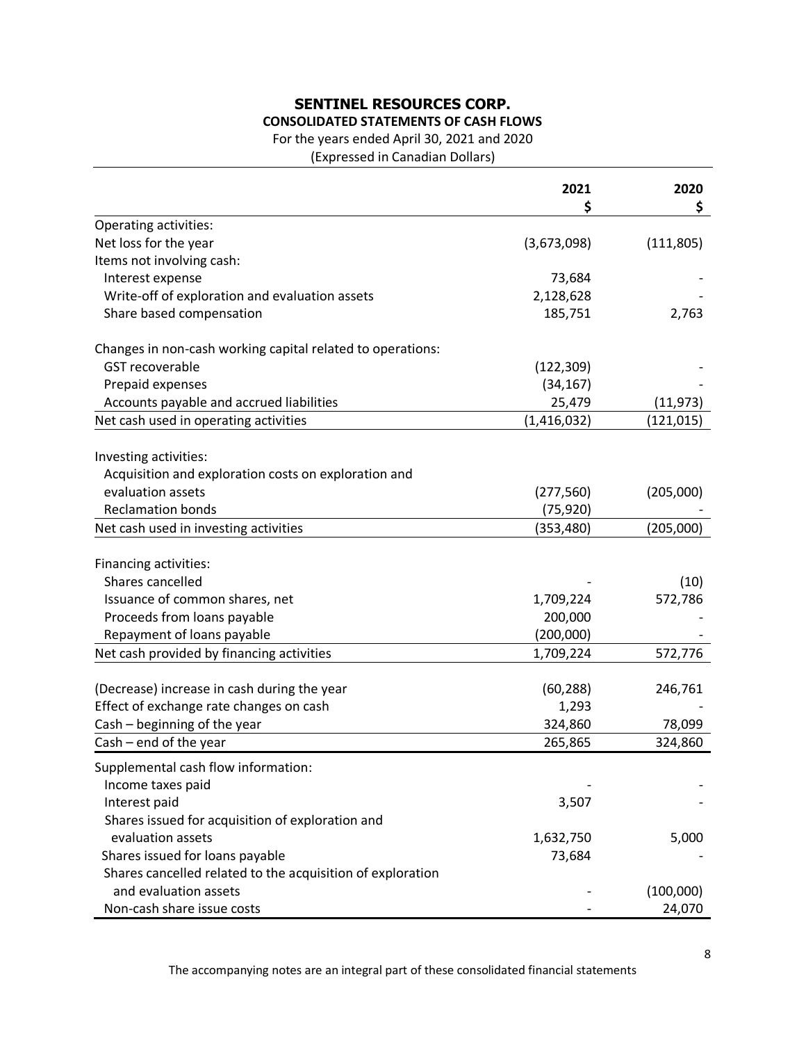## **SENTINEL RESOURCES CORP. CONSOLIDATED STATEMENTS OF CASH FLOWS**

# For the years ended April 30, 2021 and 2020

(Expressed in Canadian Dollars)

|                                                            | 2021        | 2020       |  |
|------------------------------------------------------------|-------------|------------|--|
|                                                            | S           | \$         |  |
| Operating activities:                                      |             |            |  |
| Net loss for the year                                      | (3,673,098) | (111, 805) |  |
| Items not involving cash:                                  |             |            |  |
| Interest expense                                           | 73,684      |            |  |
| Write-off of exploration and evaluation assets             | 2,128,628   |            |  |
| Share based compensation                                   | 185,751     | 2,763      |  |
| Changes in non-cash working capital related to operations: |             |            |  |
| <b>GST recoverable</b>                                     | (122, 309)  |            |  |
| Prepaid expenses                                           | (34, 167)   |            |  |
| Accounts payable and accrued liabilities                   | 25,479      | (11, 973)  |  |
| Net cash used in operating activities                      | (1,416,032) | (121, 015) |  |
| Investing activities:                                      |             |            |  |
| Acquisition and exploration costs on exploration and       |             |            |  |
| evaluation assets                                          | (277, 560)  | (205,000)  |  |
| <b>Reclamation bonds</b>                                   | (75, 920)   |            |  |
| Net cash used in investing activities                      | (353, 480)  | (205,000)  |  |
| Financing activities:                                      |             |            |  |
| Shares cancelled                                           |             | (10)       |  |
| Issuance of common shares, net                             | 1,709,224   | 572,786    |  |
| Proceeds from loans payable                                | 200,000     |            |  |
| Repayment of loans payable                                 | (200,000)   |            |  |
| Net cash provided by financing activities                  | 1,709,224   | 572,776    |  |
| (Decrease) increase in cash during the year                | (60, 288)   | 246,761    |  |
| Effect of exchange rate changes on cash                    | 1,293       |            |  |
| Cash - beginning of the year                               | 324,860     | 78,099     |  |
| $Cash - end of the year$                                   | 265,865     | 324,860    |  |
| Supplemental cash flow information:                        |             |            |  |
| Income taxes paid                                          |             |            |  |
| Interest paid                                              | 3,507       |            |  |
| Shares issued for acquisition of exploration and           |             |            |  |
| evaluation assets                                          | 1,632,750   | 5,000      |  |
| Shares issued for loans payable                            | 73,684      |            |  |
| Shares cancelled related to the acquisition of exploration |             |            |  |
| and evaluation assets                                      |             | (100,000)  |  |
| Non-cash share issue costs                                 |             | 24,070     |  |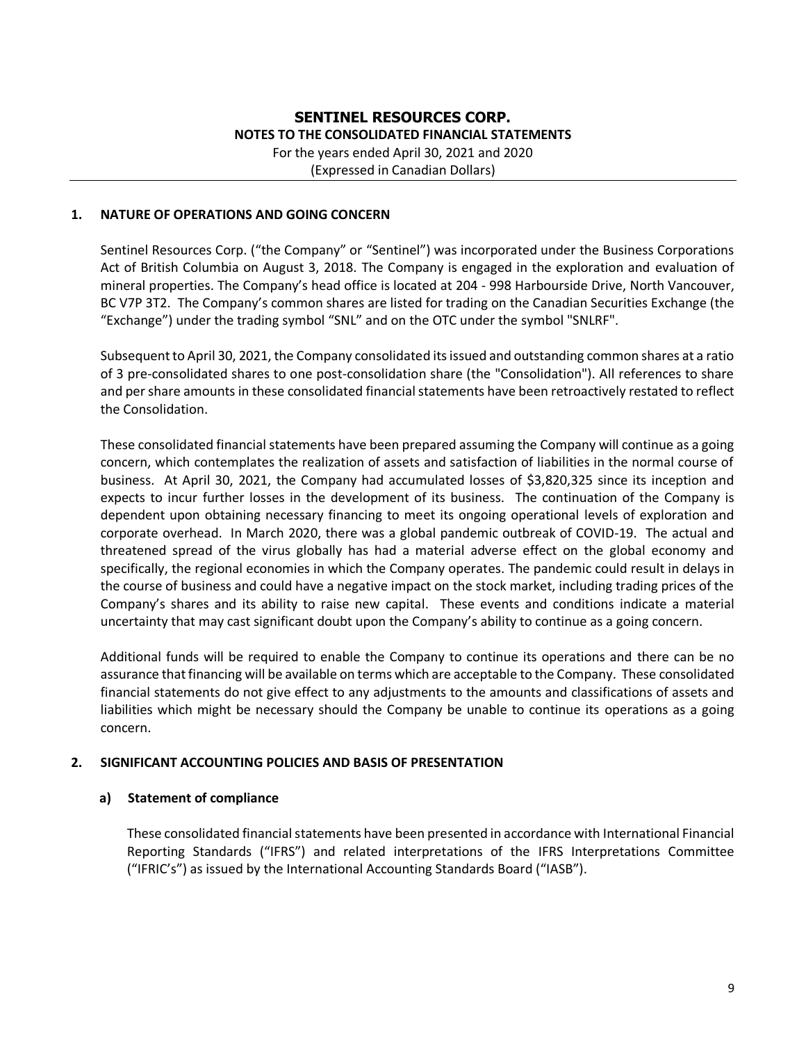(Expressed in Canadian Dollars)

### **1. NATURE OF OPERATIONS AND GOING CONCERN**

Sentinel Resources Corp. ("the Company" or "Sentinel") was incorporated under the Business Corporations Act of British Columbia on August 3, 2018. The Company is engaged in the exploration and evaluation of mineral properties. The Company's head office is located at 204 - 998 Harbourside Drive, North Vancouver, BC V7P 3T2. The Company's common shares are listed for trading on the Canadian Securities Exchange (the "Exchange") under the trading symbol "SNL" and on the OTC under the symbol "SNLRF".

Subsequent to April 30, 2021, the Company consolidated its issued and outstanding common shares at a ratio of 3 pre-consolidated shares to one post-consolidation share (the "Consolidation"). All references to share and per share amounts in these consolidated financial statements have been retroactively restated to reflect the Consolidation.

These consolidated financial statements have been prepared assuming the Company will continue as a going concern, which contemplates the realization of assets and satisfaction of liabilities in the normal course of business. At April 30, 2021, the Company had accumulated losses of \$3,820,325 since its inception and expects to incur further losses in the development of its business. The continuation of the Company is dependent upon obtaining necessary financing to meet its ongoing operational levels of exploration and corporate overhead. In March 2020, there was a global pandemic outbreak of COVID-19. The actual and threatened spread of the virus globally has had a material adverse effect on the global economy and specifically, the regional economies in which the Company operates. The pandemic could result in delays in the course of business and could have a negative impact on the stock market, including trading prices of the Company's shares and its ability to raise new capital. These events and conditions indicate a material uncertainty that may cast significant doubt upon the Company's ability to continue as a going concern.

Additional funds will be required to enable the Company to continue its operations and there can be no assurance that financing will be available on terms which are acceptable to the Company. These consolidated financial statements do not give effect to any adjustments to the amounts and classifications of assets and liabilities which might be necessary should the Company be unable to continue its operations as a going concern.

### **2. SIGNIFICANT ACCOUNTING POLICIES AND BASIS OF PRESENTATION**

#### **a) Statement of compliance**

These consolidated financial statements have been presented in accordance with International Financial Reporting Standards ("IFRS") and related interpretations of the IFRS Interpretations Committee ("IFRIC's") as issued by the International Accounting Standards Board ("IASB").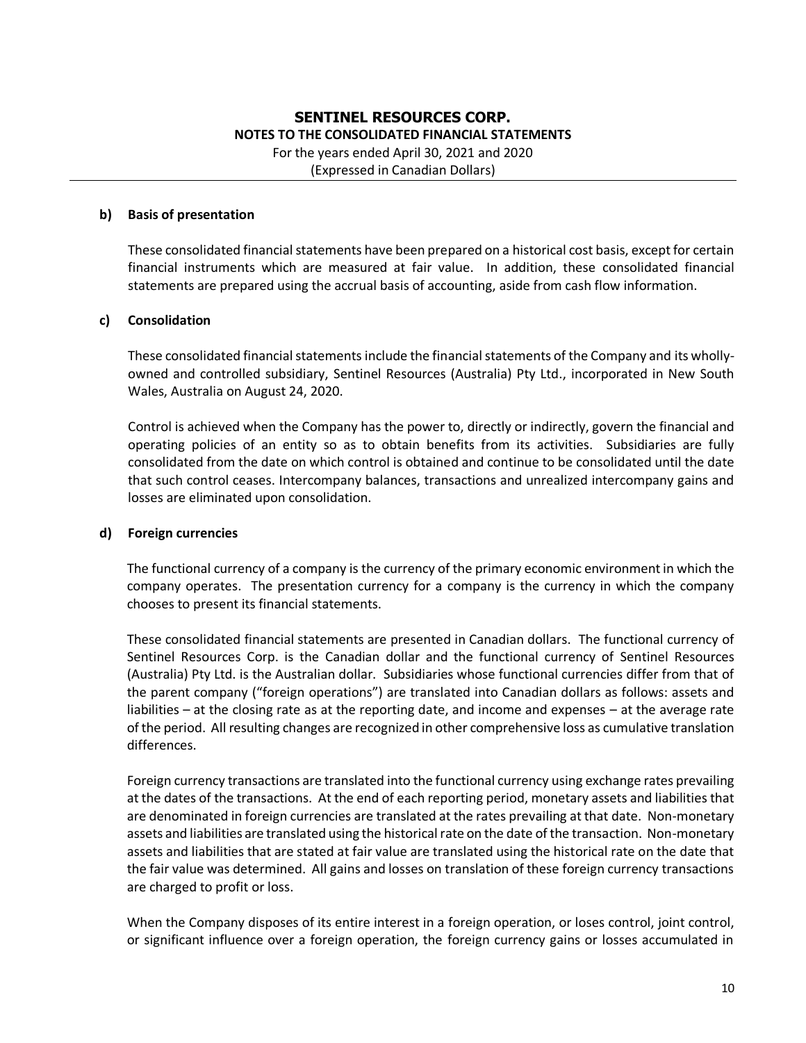For the years ended April 30, 2021 and 2020 (Expressed in Canadian Dollars)

### **b) Basis of presentation**

These consolidated financial statements have been prepared on a historical cost basis, except for certain financial instruments which are measured at fair value. In addition, these consolidated financial statements are prepared using the accrual basis of accounting, aside from cash flow information.

### **c) Consolidation**

These consolidated financial statements include the financial statements of the Company and its whollyowned and controlled subsidiary, Sentinel Resources (Australia) Pty Ltd., incorporated in New South Wales, Australia on August 24, 2020.

Control is achieved when the Company has the power to, directly or indirectly, govern the financial and operating policies of an entity so as to obtain benefits from its activities. Subsidiaries are fully consolidated from the date on which control is obtained and continue to be consolidated until the date that such control ceases. Intercompany balances, transactions and unrealized intercompany gains and losses are eliminated upon consolidation.

#### **d) Foreign currencies**

The functional currency of a company is the currency of the primary economic environment in which the company operates. The presentation currency for a company is the currency in which the company chooses to present its financial statements.

These consolidated financial statements are presented in Canadian dollars. The functional currency of Sentinel Resources Corp. is the Canadian dollar and the functional currency of Sentinel Resources (Australia) Pty Ltd. is the Australian dollar. Subsidiaries whose functional currencies differ from that of the parent company ("foreign operations") are translated into Canadian dollars as follows: assets and liabilities – at the closing rate as at the reporting date, and income and expenses – at the average rate of the period. All resulting changes are recognized in other comprehensive loss as cumulative translation differences.

Foreign currency transactions are translated into the functional currency using exchange rates prevailing at the dates of the transactions. At the end of each reporting period, monetary assets and liabilities that are denominated in foreign currencies are translated at the rates prevailing at that date. Non-monetary assets and liabilities are translated using the historical rate on the date of the transaction. Non-monetary assets and liabilities that are stated at fair value are translated using the historical rate on the date that the fair value was determined. All gains and losses on translation of these foreign currency transactions are charged to profit or loss.

When the Company disposes of its entire interest in a foreign operation, or loses control, joint control, or significant influence over a foreign operation, the foreign currency gains or losses accumulated in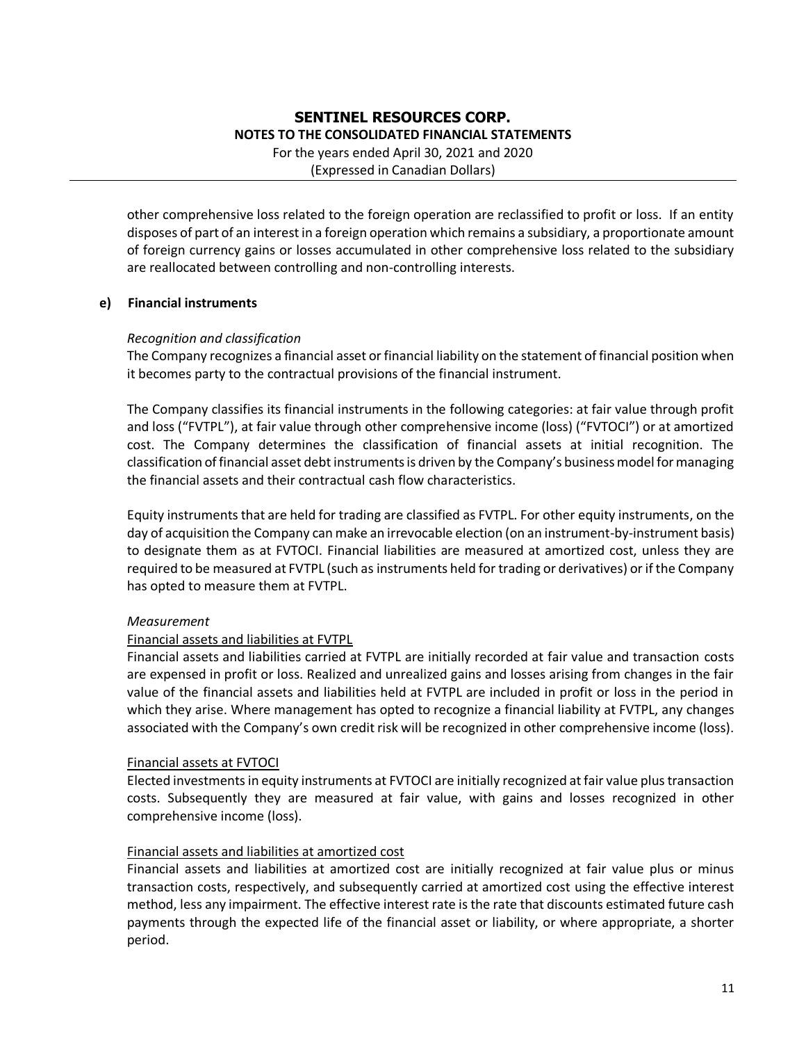For the years ended April 30, 2021 and 2020 (Expressed in Canadian Dollars)

other comprehensive loss related to the foreign operation are reclassified to profit or loss. If an entity disposes of part of an interest in a foreign operation which remains a subsidiary, a proportionate amount of foreign currency gains or losses accumulated in other comprehensive loss related to the subsidiary are reallocated between controlling and non-controlling interests.

## **e) Financial instruments**

## *Recognition and classification*

The Company recognizes a financial asset or financial liability on the statement of financial position when it becomes party to the contractual provisions of the financial instrument.

The Company classifies its financial instruments in the following categories: at fair value through profit and loss ("FVTPL"), at fair value through other comprehensive income (loss) ("FVTOCI") or at amortized cost. The Company determines the classification of financial assets at initial recognition. The classification of financial asset debt instruments is driven by the Company's business model for managing the financial assets and their contractual cash flow characteristics.

Equity instruments that are held for trading are classified as FVTPL. For other equity instruments, on the day of acquisition the Company can make an irrevocable election (on an instrument-by-instrument basis) to designate them as at FVTOCI. Financial liabilities are measured at amortized cost, unless they are required to be measured at FVTPL (such as instruments held for trading or derivatives) or if the Company has opted to measure them at FVTPL.

# *Measurement*

# Financial assets and liabilities at FVTPL

Financial assets and liabilities carried at FVTPL are initially recorded at fair value and transaction costs are expensed in profit or loss. Realized and unrealized gains and losses arising from changes in the fair value of the financial assets and liabilities held at FVTPL are included in profit or loss in the period in which they arise. Where management has opted to recognize a financial liability at FVTPL, any changes associated with the Company's own credit risk will be recognized in other comprehensive income (loss).

### Financial assets at FVTOCI

Elected investments in equity instruments at FVTOCI are initially recognized at fair value plus transaction costs. Subsequently they are measured at fair value, with gains and losses recognized in other comprehensive income (loss).

# Financial assets and liabilities at amortized cost

Financial assets and liabilities at amortized cost are initially recognized at fair value plus or minus transaction costs, respectively, and subsequently carried at amortized cost using the effective interest method, less any impairment. The effective interest rate is the rate that discounts estimated future cash payments through the expected life of the financial asset or liability, or where appropriate, a shorter period.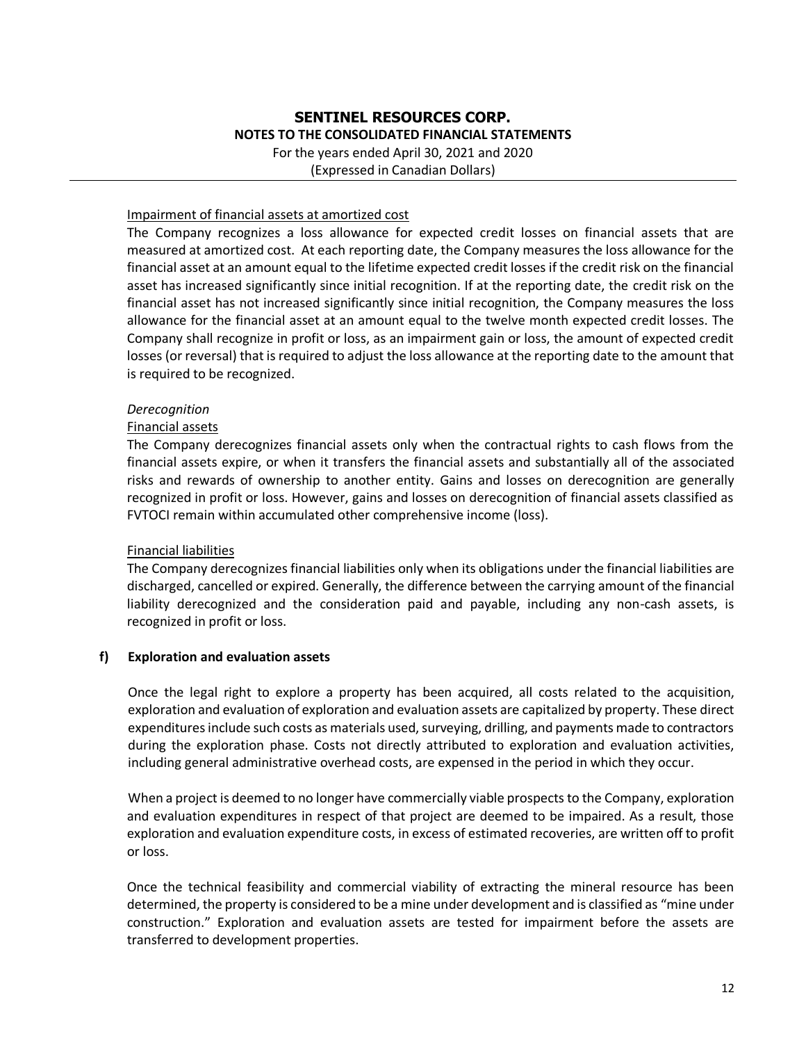For the years ended April 30, 2021 and 2020 (Expressed in Canadian Dollars)

### Impairment of financial assets at amortized cost

The Company recognizes a loss allowance for expected credit losses on financial assets that are measured at amortized cost. At each reporting date, the Company measures the loss allowance for the financial asset at an amount equal to the lifetime expected credit losses if the credit risk on the financial asset has increased significantly since initial recognition. If at the reporting date, the credit risk on the financial asset has not increased significantly since initial recognition, the Company measures the loss allowance for the financial asset at an amount equal to the twelve month expected credit losses. The Company shall recognize in profit or loss, as an impairment gain or loss, the amount of expected credit losses (or reversal) that is required to adjust the loss allowance at the reporting date to the amount that is required to be recognized.

### *Derecognition*

### Financial assets

The Company derecognizes financial assets only when the contractual rights to cash flows from the financial assets expire, or when it transfers the financial assets and substantially all of the associated risks and rewards of ownership to another entity. Gains and losses on derecognition are generally recognized in profit or loss. However, gains and losses on derecognition of financial assets classified as FVTOCI remain within accumulated other comprehensive income (loss).

#### Financial liabilities

The Company derecognizes financial liabilities only when its obligations under the financial liabilities are discharged, cancelled or expired. Generally, the difference between the carrying amount of the financial liability derecognized and the consideration paid and payable, including any non-cash assets, is recognized in profit or loss.

### **f) Exploration and evaluation assets**

Once the legal right to explore a property has been acquired, all costs related to the acquisition, exploration and evaluation of exploration and evaluation assets are capitalized by property. These direct expenditures include such costs as materials used, surveying, drilling, and payments made to contractors during the exploration phase. Costs not directly attributed to exploration and evaluation activities, including general administrative overhead costs, are expensed in the period in which they occur.

When a project is deemed to no longer have commercially viable prospects to the Company, exploration and evaluation expenditures in respect of that project are deemed to be impaired. As a result, those exploration and evaluation expenditure costs, in excess of estimated recoveries, are written off to profit or loss.

Once the technical feasibility and commercial viability of extracting the mineral resource has been determined, the property is considered to be a mine under development and is classified as "mine under construction." Exploration and evaluation assets are tested for impairment before the assets are transferred to development properties.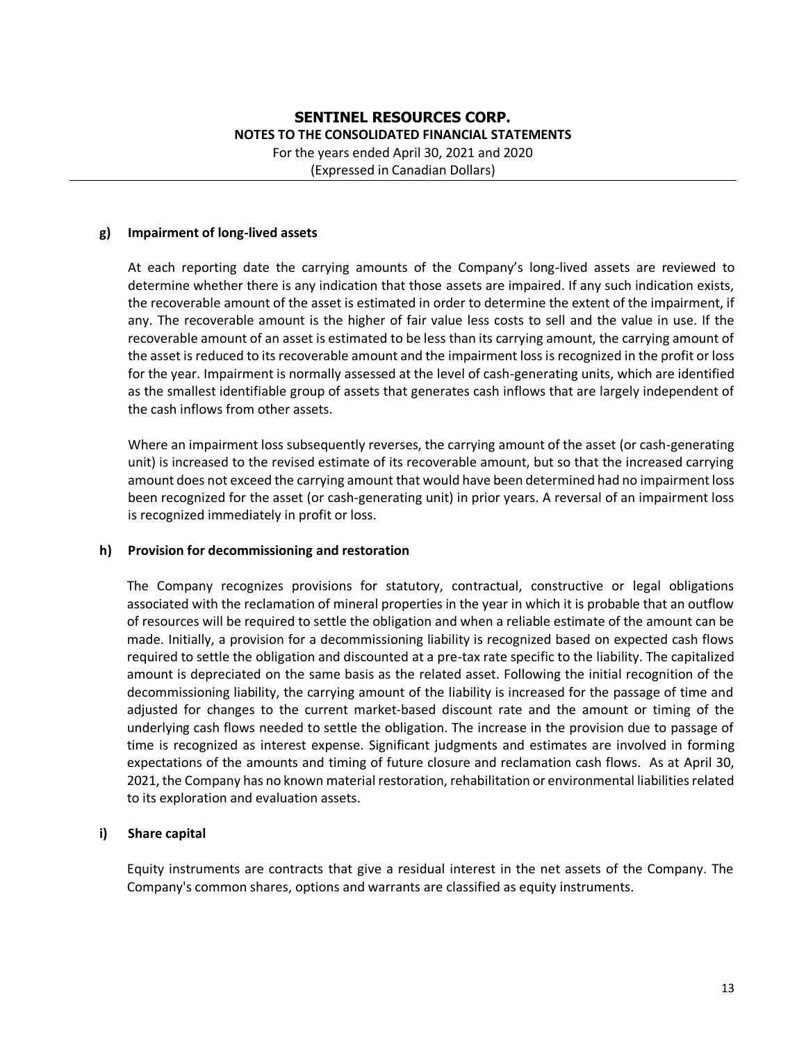(Expressed in Canadian Dollars)

#### **g) Impairment of long-lived assets**

At each reporting date the carrying amounts of the Company's long-lived assets are reviewed to determine whether there is any indication that those assets are impaired. If any such indication exists, the recoverable amount of the asset is estimated in order to determine the extent of the impairment, if any. The recoverable amount is the higher of fair value less costs to sell and the value in use. If the recoverable amount of an asset is estimated to be less than its carrying amount, the carrying amount of the asset is reduced to its recoverable amount and the impairment loss is recognized in the profit or loss for the year. Impairment is normally assessed at the level of cash-generating units, which are identified as the smallest identifiable group of assets that generates cash inflows that are largely independent of the cash inflows from other assets.

Where an impairment loss subsequently reverses, the carrying amount of the asset (or cash-generating unit) is increased to the revised estimate of its recoverable amount, but so that the increased carrying amount does not exceed the carrying amount that would have been determined had no impairment loss been recognized for the asset (or cash-generating unit) in prior years. A reversal of an impairment loss is recognized immediately in profit or loss.

#### **h) Provision for decommissioning and restoration**

The Company recognizes provisions for statutory, contractual, constructive or legal obligations associated with the reclamation of mineral properties in the year in which it is probable that an outflow of resources will be required to settle the obligation and when a reliable estimate of the amount can be made. Initially, a provision for a decommissioning liability is recognized based on expected cash flows required to settle the obligation and discounted at a pre-tax rate specific to the liability. The capitalized amount is depreciated on the same basis as the related asset. Following the initial recognition of the decommissioning liability, the carrying amount of the liability is increased for the passage of time and adjusted for changes to the current market-based discount rate and the amount or timing of the underlying cash flows needed to settle the obligation. The increase in the provision due to passage of time is recognized as interest expense. Significant judgments and estimates are involved in forming expectations of the amounts and timing of future closure and reclamation cash flows. As at April 30, 2021, the Company has no known material restoration, rehabilitation or environmental liabilities related to its exploration and evaluation assets.

## **i) Share capital**

Equity instruments are contracts that give a residual interest in the net assets of the Company. The Company's common shares, options and warrants are classified as equity instruments.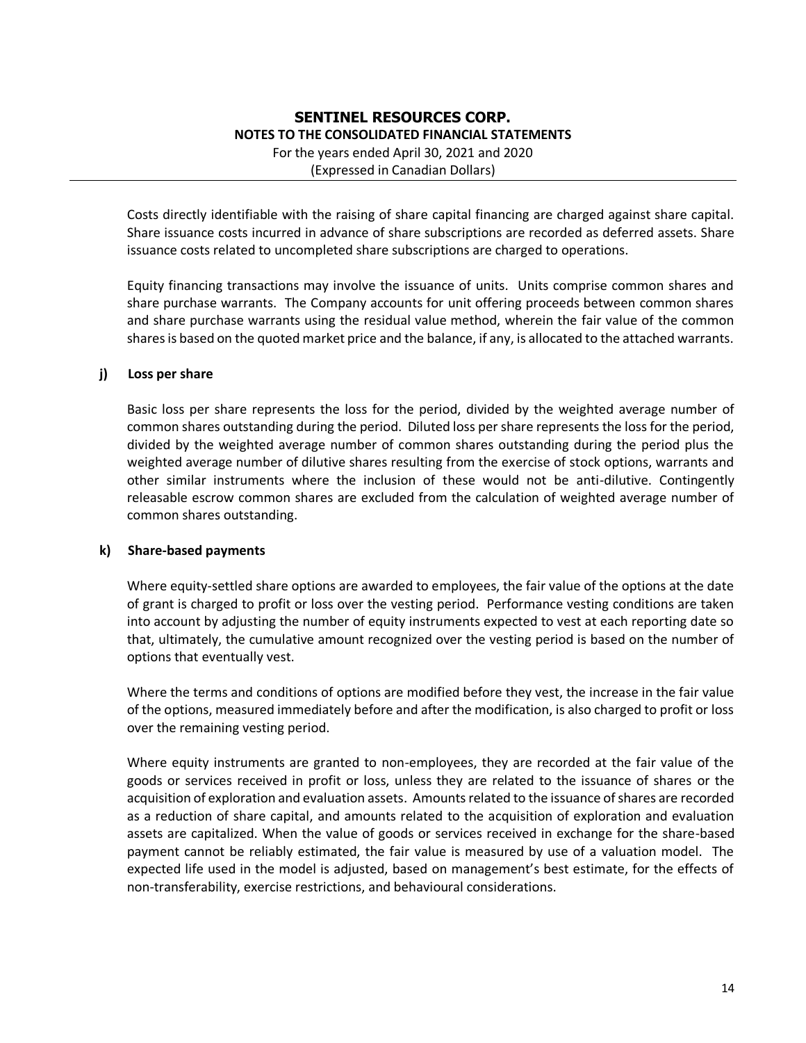# **SENTINEL RESOURCES CORP. NOTES TO THE CONSOLIDATED FINANCIAL STATEMENTS** For the years ended April 30, 2021 and 2020

(Expressed in Canadian Dollars)

Costs directly identifiable with the raising of share capital financing are charged against share capital. Share issuance costs incurred in advance of share subscriptions are recorded as deferred assets. Share issuance costs related to uncompleted share subscriptions are charged to operations.

Equity financing transactions may involve the issuance of units. Units comprise common shares and share purchase warrants. The Company accounts for unit offering proceeds between common shares and share purchase warrants using the residual value method, wherein the fair value of the common shares is based on the quoted market price and the balance, if any, is allocated to the attached warrants.

## **j) Loss per share**

Basic loss per share represents the loss for the period, divided by the weighted average number of common shares outstanding during the period. Diluted loss per share represents the loss for the period, divided by the weighted average number of common shares outstanding during the period plus the weighted average number of dilutive shares resulting from the exercise of stock options, warrants and other similar instruments where the inclusion of these would not be anti-dilutive. Contingently releasable escrow common shares are excluded from the calculation of weighted average number of common shares outstanding.

### **k) Share-based payments**

Where equity-settled share options are awarded to employees, the fair value of the options at the date of grant is charged to profit or loss over the vesting period. Performance vesting conditions are taken into account by adjusting the number of equity instruments expected to vest at each reporting date so that, ultimately, the cumulative amount recognized over the vesting period is based on the number of options that eventually vest.

Where the terms and conditions of options are modified before they vest, the increase in the fair value of the options, measured immediately before and after the modification, is also charged to profit or loss over the remaining vesting period.

Where equity instruments are granted to non-employees, they are recorded at the fair value of the goods or services received in profit or loss, unless they are related to the issuance of shares or the acquisition of exploration and evaluation assets. Amounts related to the issuance of shares are recorded as a reduction of share capital, and amounts related to the acquisition of exploration and evaluation assets are capitalized. When the value of goods or services received in exchange for the share-based payment cannot be reliably estimated, the fair value is measured by use of a valuation model. The expected life used in the model is adjusted, based on management's best estimate, for the effects of non-transferability, exercise restrictions, and behavioural considerations.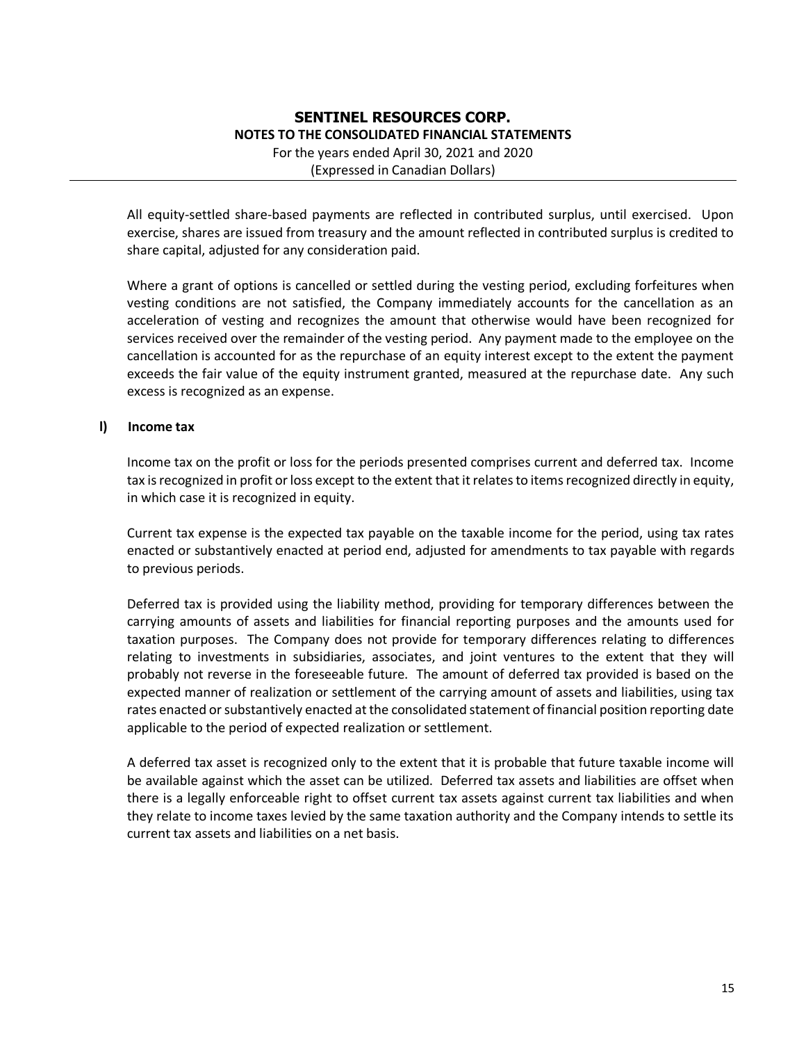# **SENTINEL RESOURCES CORP. NOTES TO THE CONSOLIDATED FINANCIAL STATEMENTS** For the years ended April 30, 2021 and 2020

(Expressed in Canadian Dollars)

All equity-settled share-based payments are reflected in contributed surplus, until exercised. Upon exercise, shares are issued from treasury and the amount reflected in contributed surplus is credited to share capital, adjusted for any consideration paid.

Where a grant of options is cancelled or settled during the vesting period, excluding forfeitures when vesting conditions are not satisfied, the Company immediately accounts for the cancellation as an acceleration of vesting and recognizes the amount that otherwise would have been recognized for services received over the remainder of the vesting period. Any payment made to the employee on the cancellation is accounted for as the repurchase of an equity interest except to the extent the payment exceeds the fair value of the equity instrument granted, measured at the repurchase date. Any such excess is recognized as an expense.

## **l) Income tax**

Income tax on the profit or loss for the periods presented comprises current and deferred tax. Income tax is recognized in profit or loss except to the extent that it relates to items recognized directly in equity, in which case it is recognized in equity.

Current tax expense is the expected tax payable on the taxable income for the period, using tax rates enacted or substantively enacted at period end, adjusted for amendments to tax payable with regards to previous periods.

Deferred tax is provided using the liability method, providing for temporary differences between the carrying amounts of assets and liabilities for financial reporting purposes and the amounts used for taxation purposes. The Company does not provide for temporary differences relating to differences relating to investments in subsidiaries, associates, and joint ventures to the extent that they will probably not reverse in the foreseeable future. The amount of deferred tax provided is based on the expected manner of realization or settlement of the carrying amount of assets and liabilities, using tax rates enacted or substantively enacted at the consolidated statement of financial position reporting date applicable to the period of expected realization or settlement.

A deferred tax asset is recognized only to the extent that it is probable that future taxable income will be available against which the asset can be utilized. Deferred tax assets and liabilities are offset when there is a legally enforceable right to offset current tax assets against current tax liabilities and when they relate to income taxes levied by the same taxation authority and the Company intends to settle its current tax assets and liabilities on a net basis.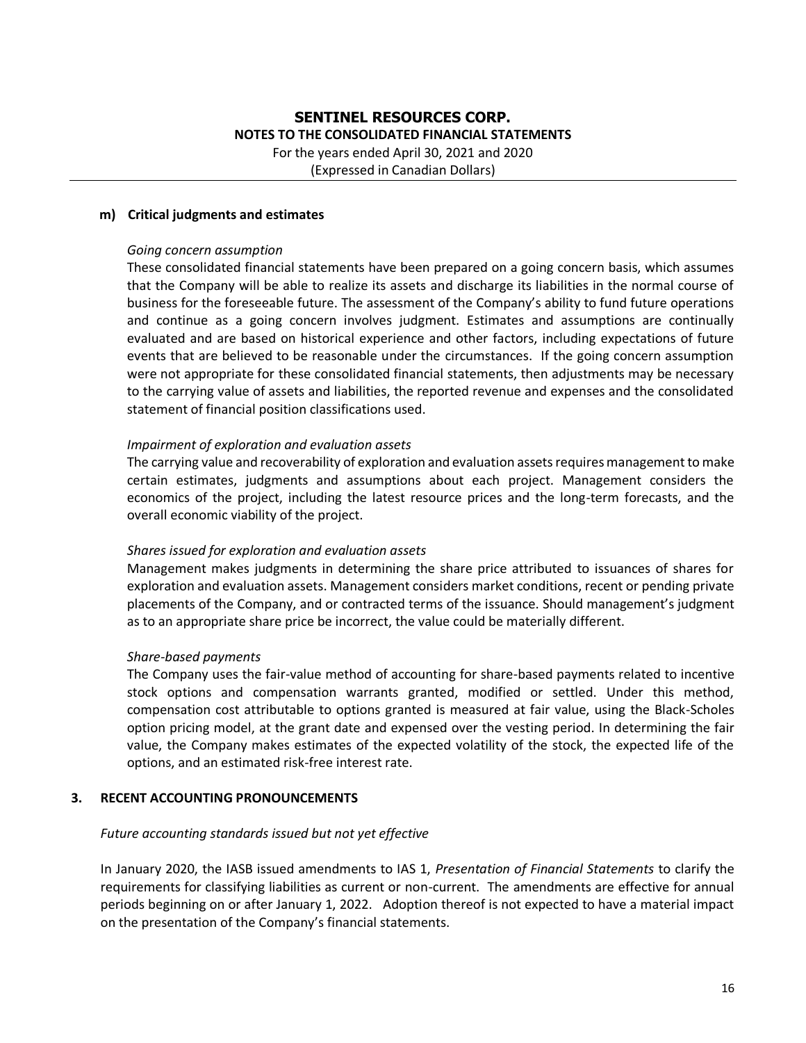For the years ended April 30, 2021 and 2020 (Expressed in Canadian Dollars)

### **m) Critical judgments and estimates**

#### *Going concern assumption*

These consolidated financial statements have been prepared on a going concern basis, which assumes that the Company will be able to realize its assets and discharge its liabilities in the normal course of business for the foreseeable future. The assessment of the Company's ability to fund future operations and continue as a going concern involves judgment. Estimates and assumptions are continually evaluated and are based on historical experience and other factors, including expectations of future events that are believed to be reasonable under the circumstances. If the going concern assumption were not appropriate for these consolidated financial statements, then adjustments may be necessary to the carrying value of assets and liabilities, the reported revenue and expenses and the consolidated statement of financial position classifications used.

#### *Impairment of exploration and evaluation assets*

The carrying value and recoverability of exploration and evaluation assets requires management to make certain estimates, judgments and assumptions about each project. Management considers the economics of the project, including the latest resource prices and the long-term forecasts, and the overall economic viability of the project.

#### *Shares issued for exploration and evaluation assets*

Management makes judgments in determining the share price attributed to issuances of shares for exploration and evaluation assets. Management considers market conditions, recent or pending private placements of the Company, and or contracted terms of the issuance. Should management's judgment as to an appropriate share price be incorrect, the value could be materially different.

#### *Share-based payments*

The Company uses the fair-value method of accounting for share-based payments related to incentive stock options and compensation warrants granted, modified or settled. Under this method, compensation cost attributable to options granted is measured at fair value, using the Black-Scholes option pricing model, at the grant date and expensed over the vesting period. In determining the fair value, the Company makes estimates of the expected volatility of the stock, the expected life of the options, and an estimated risk-free interest rate.

#### **3. RECENT ACCOUNTING PRONOUNCEMENTS**

#### *Future accounting standards issued but not yet effective*

In January 2020, the IASB issued amendments to IAS 1, *Presentation of Financial Statements* to clarify the requirements for classifying liabilities as current or non-current. The amendments are effective for annual periods beginning on or after January 1, 2022. Adoption thereof is not expected to have a material impact on the presentation of the Company's financial statements.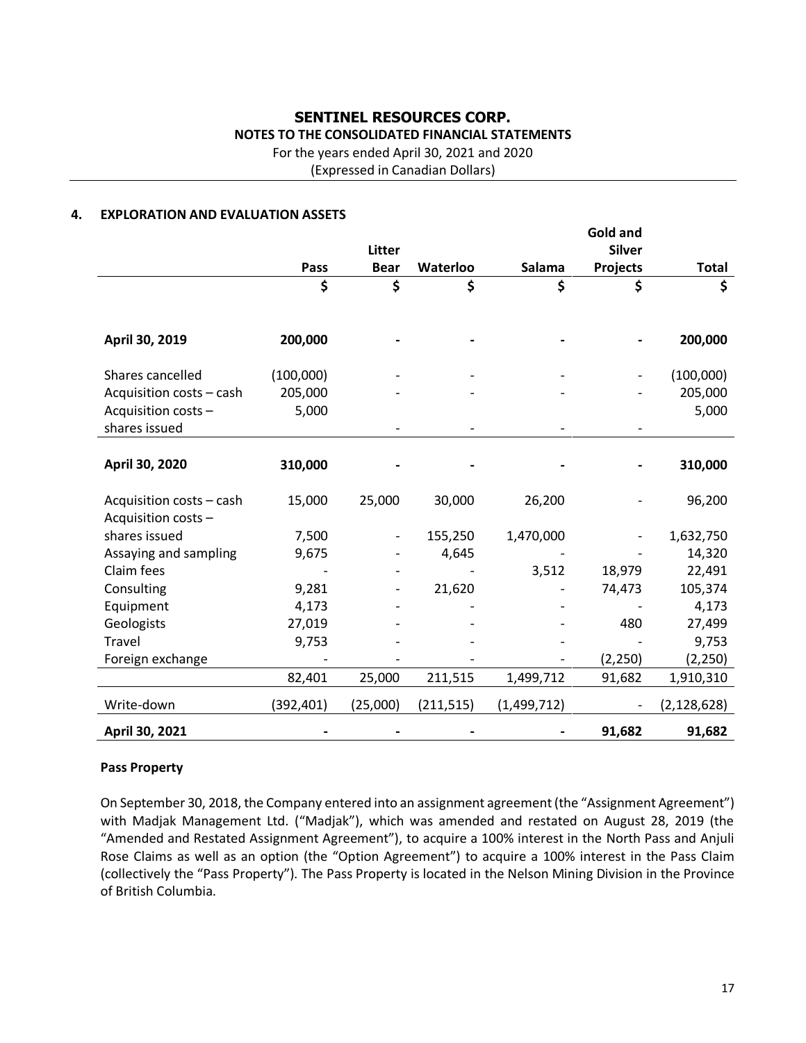For the years ended April 30, 2021 and 2020

(Expressed in Canadian Dollars)

### **4. EXPLORATION AND EVALUATION ASSETS**

|                                                 |            |                       |            |               | <b>Gold and</b><br><b>Silver</b> |               |
|-------------------------------------------------|------------|-----------------------|------------|---------------|----------------------------------|---------------|
|                                                 | Pass       | Litter<br><b>Bear</b> | Waterloo   | <b>Salama</b> | Projects                         | <b>Total</b>  |
|                                                 | \$         | \$                    | \$         | \$            | \$                               | \$            |
|                                                 |            |                       |            |               |                                  |               |
| April 30, 2019                                  | 200,000    |                       |            |               |                                  | 200,000       |
| Shares cancelled                                | (100,000)  |                       |            |               |                                  | (100,000)     |
| Acquisition costs - cash                        | 205,000    |                       |            |               |                                  | 205,000       |
| Acquisition costs -                             | 5,000      |                       |            |               |                                  | 5,000         |
| shares issued                                   |            |                       |            |               |                                  |               |
|                                                 |            |                       |            |               |                                  |               |
| April 30, 2020                                  | 310,000    |                       |            |               |                                  | 310,000       |
| Acquisition costs - cash<br>Acquisition costs - | 15,000     | 25,000                | 30,000     | 26,200        |                                  | 96,200        |
| shares issued                                   | 7,500      |                       | 155,250    | 1,470,000     |                                  | 1,632,750     |
| Assaying and sampling                           | 9,675      |                       | 4,645      |               |                                  | 14,320        |
| Claim fees                                      |            |                       |            | 3,512         | 18,979                           | 22,491        |
| Consulting                                      | 9,281      |                       | 21,620     |               | 74,473                           | 105,374       |
| Equipment                                       | 4,173      |                       |            |               |                                  | 4,173         |
| Geologists                                      | 27,019     |                       |            |               | 480                              | 27,499        |
| Travel                                          | 9,753      |                       |            |               |                                  | 9,753         |
| Foreign exchange                                |            |                       |            |               | (2, 250)                         | (2, 250)      |
|                                                 | 82,401     | 25,000                | 211,515    | 1,499,712     | 91,682                           | 1,910,310     |
| Write-down                                      | (392, 401) | (25,000)              | (211, 515) | (1,499,712)   |                                  | (2, 128, 628) |
| April 30, 2021                                  |            |                       |            |               | 91,682                           | 91,682        |

### **Pass Property**

On September 30, 2018, the Company entered into an assignment agreement (the "Assignment Agreement") with Madjak Management Ltd. ("Madjak"), which was amended and restated on August 28, 2019 (the "Amended and Restated Assignment Agreement"), to acquire a 100% interest in the North Pass and Anjuli Rose Claims as well as an option (the "Option Agreement") to acquire a 100% interest in the Pass Claim (collectively the "Pass Property"). The Pass Property is located in the Nelson Mining Division in the Province of British Columbia.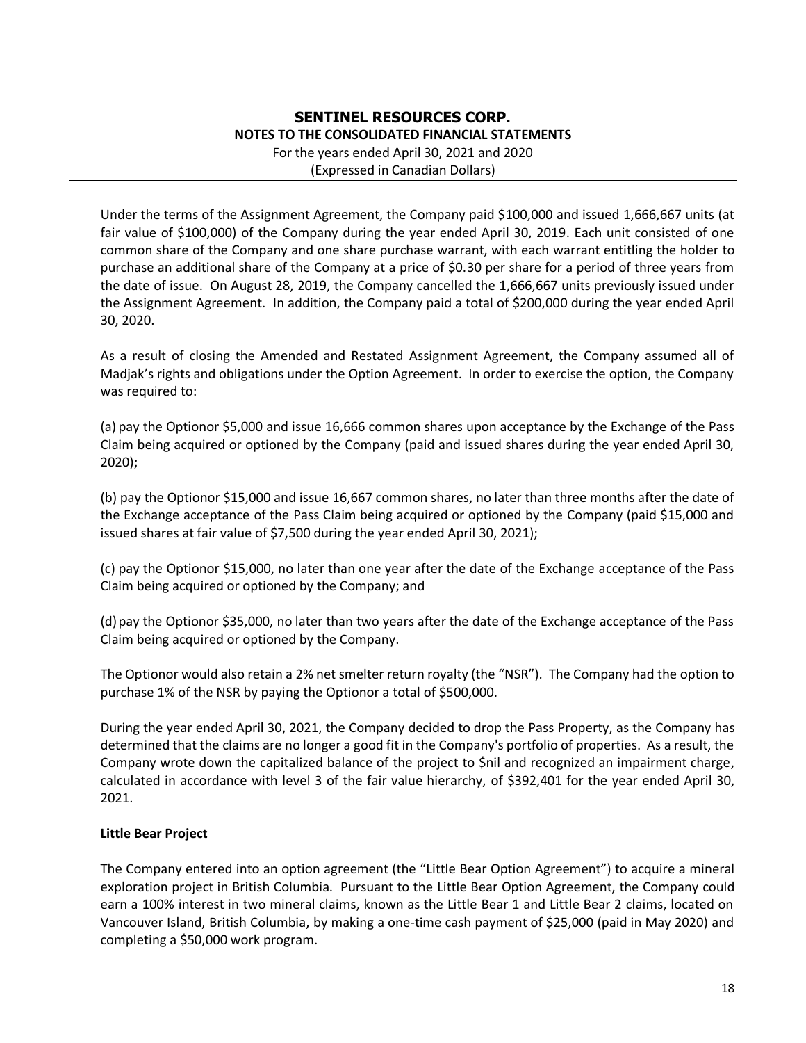For the years ended April 30, 2021 and 2020 (Expressed in Canadian Dollars)

Under the terms of the Assignment Agreement, the Company paid \$100,000 and issued 1,666,667 units (at fair value of \$100,000) of the Company during the year ended April 30, 2019. Each unit consisted of one common share of the Company and one share purchase warrant, with each warrant entitling the holder to purchase an additional share of the Company at a price of \$0.30 per share for a period of three years from the date of issue. On August 28, 2019, the Company cancelled the 1,666,667 units previously issued under the Assignment Agreement. In addition, the Company paid a total of \$200,000 during the year ended April 30, 2020.

As a result of closing the Amended and Restated Assignment Agreement, the Company assumed all of Madjak's rights and obligations under the Option Agreement. In order to exercise the option, the Company was required to:

(a) pay the Optionor \$5,000 and issue 16,666 common shares upon acceptance by the Exchange of the Pass Claim being acquired or optioned by the Company (paid and issued shares during the year ended April 30, 2020);

(b) pay the Optionor \$15,000 and issue 16,667 common shares, no later than three months after the date of the Exchange acceptance of the Pass Claim being acquired or optioned by the Company (paid \$15,000 and issued shares at fair value of \$7,500 during the year ended April 30, 2021);

(c) pay the Optionor \$15,000, no later than one year after the date of the Exchange acceptance of the Pass Claim being acquired or optioned by the Company; and

(d)pay the Optionor \$35,000, no later than two years after the date of the Exchange acceptance of the Pass Claim being acquired or optioned by the Company.

The Optionor would also retain a 2% net smelter return royalty (the "NSR"). The Company had the option to purchase 1% of the NSR by paying the Optionor a total of \$500,000.

During the year ended April 30, 2021, the Company decided to drop the Pass Property, as the Company has determined that the claims are no longer a good fit in the Company's portfolio of properties. As a result, the Company wrote down the capitalized balance of the project to \$nil and recognized an impairment charge, calculated in accordance with level 3 of the fair value hierarchy, of \$392,401 for the year ended April 30, 2021.

### **Little Bear Project**

The Company entered into an option agreement (the "Little Bear Option Agreement") to acquire a mineral exploration project in British Columbia. Pursuant to the Little Bear Option Agreement, the Company could earn a 100% interest in two mineral claims, known as the Little Bear 1 and Little Bear 2 claims, located on Vancouver Island, British Columbia, by making a one-time cash payment of \$25,000 (paid in May 2020) and completing a \$50,000 work program.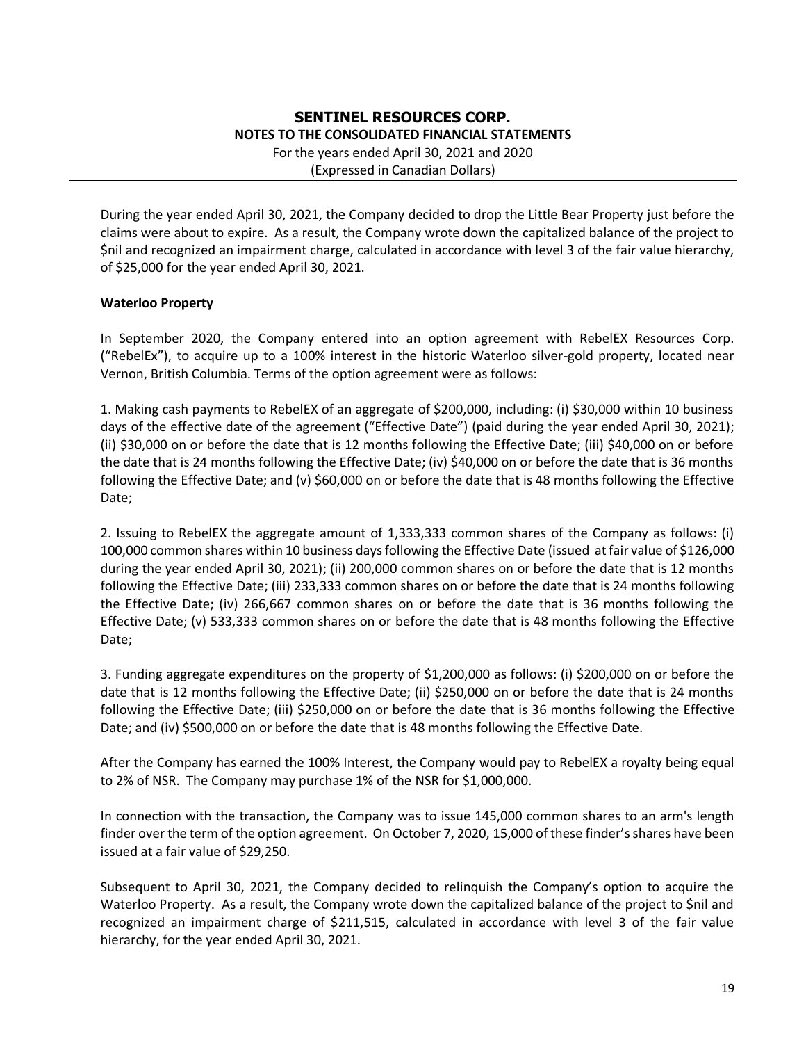# **SENTINEL RESOURCES CORP. NOTES TO THE CONSOLIDATED FINANCIAL STATEMENTS** For the years ended April 30, 2021 and 2020

(Expressed in Canadian Dollars)

During the year ended April 30, 2021, the Company decided to drop the Little Bear Property just before the claims were about to expire. As a result, the Company wrote down the capitalized balance of the project to \$nil and recognized an impairment charge, calculated in accordance with level 3 of the fair value hierarchy, of \$25,000 for the year ended April 30, 2021.

### **Waterloo Property**

In September 2020, the Company entered into an option agreement with RebelEX Resources Corp. ("RebelEx"), to acquire up to a 100% interest in the historic Waterloo silver-gold property, located near Vernon, British Columbia. Terms of the option agreement were as follows:

1. Making cash payments to RebelEX of an aggregate of \$200,000, including: (i) \$30,000 within 10 business days of the effective date of the agreement ("Effective Date") (paid during the year ended April 30, 2021); (ii) \$30,000 on or before the date that is 12 months following the Effective Date; (iii) \$40,000 on or before the date that is 24 months following the Effective Date; (iv) \$40,000 on or before the date that is 36 months following the Effective Date; and (v) \$60,000 on or before the date that is 48 months following the Effective Date;

2. Issuing to RebelEX the aggregate amount of 1,333,333 common shares of the Company as follows: (i) 100,000 common shares within 10 business days following the Effective Date (issued at fair value of \$126,000 during the year ended April 30, 2021); (ii) 200,000 common shares on or before the date that is 12 months following the Effective Date; (iii) 233,333 common shares on or before the date that is 24 months following the Effective Date; (iv) 266,667 common shares on or before the date that is 36 months following the Effective Date; (v) 533,333 common shares on or before the date that is 48 months following the Effective Date;

3. Funding aggregate expenditures on the property of \$1,200,000 as follows: (i) \$200,000 on or before the date that is 12 months following the Effective Date; (ii) \$250,000 on or before the date that is 24 months following the Effective Date; (iii) \$250,000 on or before the date that is 36 months following the Effective Date; and (iv) \$500,000 on or before the date that is 48 months following the Effective Date.

After the Company has earned the 100% Interest, the Company would pay to RebelEX a royalty being equal to 2% of NSR. The Company may purchase 1% of the NSR for \$1,000,000.

In connection with the transaction, the Company was to issue 145,000 common shares to an arm's length finder over the term of the option agreement. On October 7, 2020, 15,000 of these finder's shares have been issued at a fair value of \$29,250.

Subsequent to April 30, 2021, the Company decided to relinquish the Company's option to acquire the Waterloo Property. As a result, the Company wrote down the capitalized balance of the project to \$nil and recognized an impairment charge of \$211,515, calculated in accordance with level 3 of the fair value hierarchy, for the year ended April 30, 2021.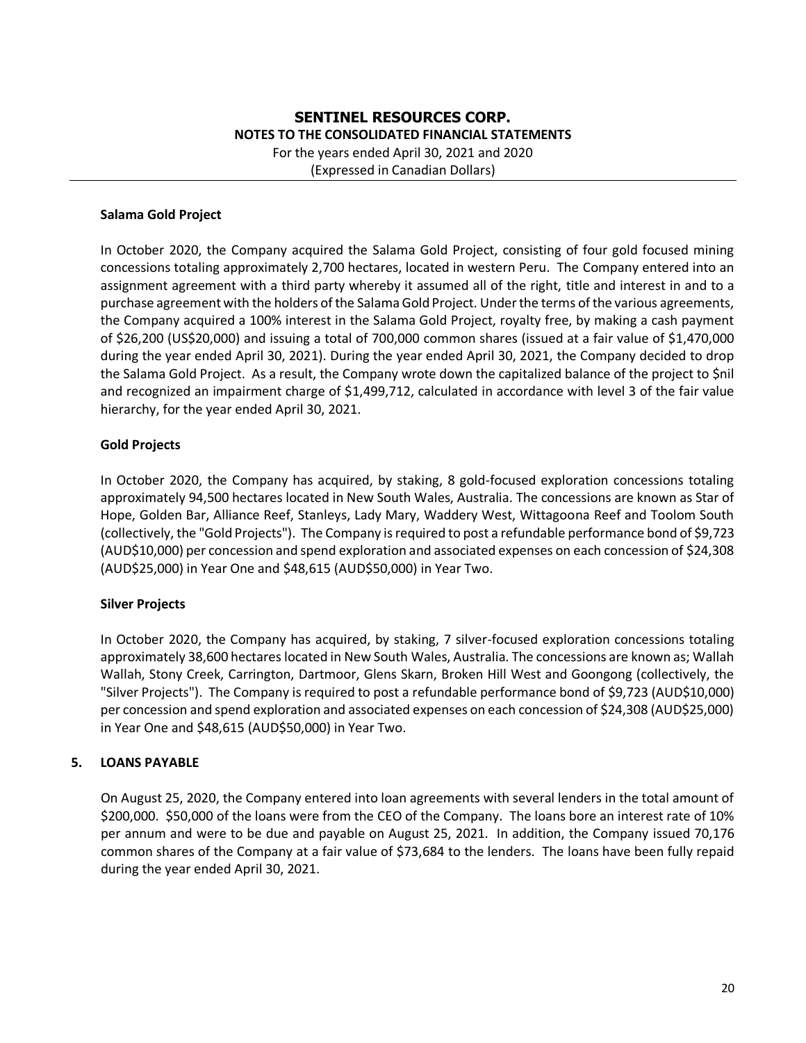(Expressed in Canadian Dollars)

### **Salama Gold Project**

In October 2020, the Company acquired the Salama Gold Project, consisting of four gold focused mining concessions totaling approximately 2,700 hectares, located in western Peru. The Company entered into an assignment agreement with a third party whereby it assumed all of the right, title and interest in and to a purchase agreement with the holders of the Salama Gold Project. Under the terms of the various agreements, the Company acquired a 100% interest in the Salama Gold Project, royalty free, by making a cash payment of \$26,200 (US\$20,000) and issuing a total of 700,000 common shares (issued at a fair value of \$1,470,000 during the year ended April 30, 2021). During the year ended April 30, 2021, the Company decided to drop the Salama Gold Project. As a result, the Company wrote down the capitalized balance of the project to \$nil and recognized an impairment charge of \$1,499,712, calculated in accordance with level 3 of the fair value hierarchy, for the year ended April 30, 2021.

### **Gold Projects**

In October 2020, the Company has acquired, by staking, 8 gold-focused exploration concessions totaling approximately 94,500 hectares located in New South Wales, Australia. The concessions are known as Star of Hope, Golden Bar, Alliance Reef, Stanleys, Lady Mary, Waddery West, Wittagoona Reef and Toolom South (collectively, the "Gold Projects"). The Company isrequired to post a refundable performance bond of \$9,723 (AUD\$10,000) per concession and spend exploration and associated expenses on each concession of \$24,308 (AUD\$25,000) in Year One and \$48,615 (AUD\$50,000) in Year Two.

### **Silver Projects**

In October 2020, the Company has acquired, by staking, 7 silver-focused exploration concessions totaling approximately 38,600 hectares located in New South Wales, Australia. The concessions are known as; Wallah Wallah, Stony Creek, Carrington, Dartmoor, Glens Skarn, Broken Hill West and Goongong (collectively, the "Silver Projects"). The Company is required to post a refundable performance bond of \$9,723 (AUD\$10,000) per concession and spend exploration and associated expenses on each concession of \$24,308 (AUD\$25,000) in Year One and \$48,615 (AUD\$50,000) in Year Two.

### **5. LOANS PAYABLE**

On August 25, 2020, the Company entered into loan agreements with several lenders in the total amount of \$200,000. \$50,000 of the loans were from the CEO of the Company. The loans bore an interest rate of 10% per annum and were to be due and payable on August 25, 2021. In addition, the Company issued 70,176 common shares of the Company at a fair value of \$73,684 to the lenders. The loans have been fully repaid during the year ended April 30, 2021.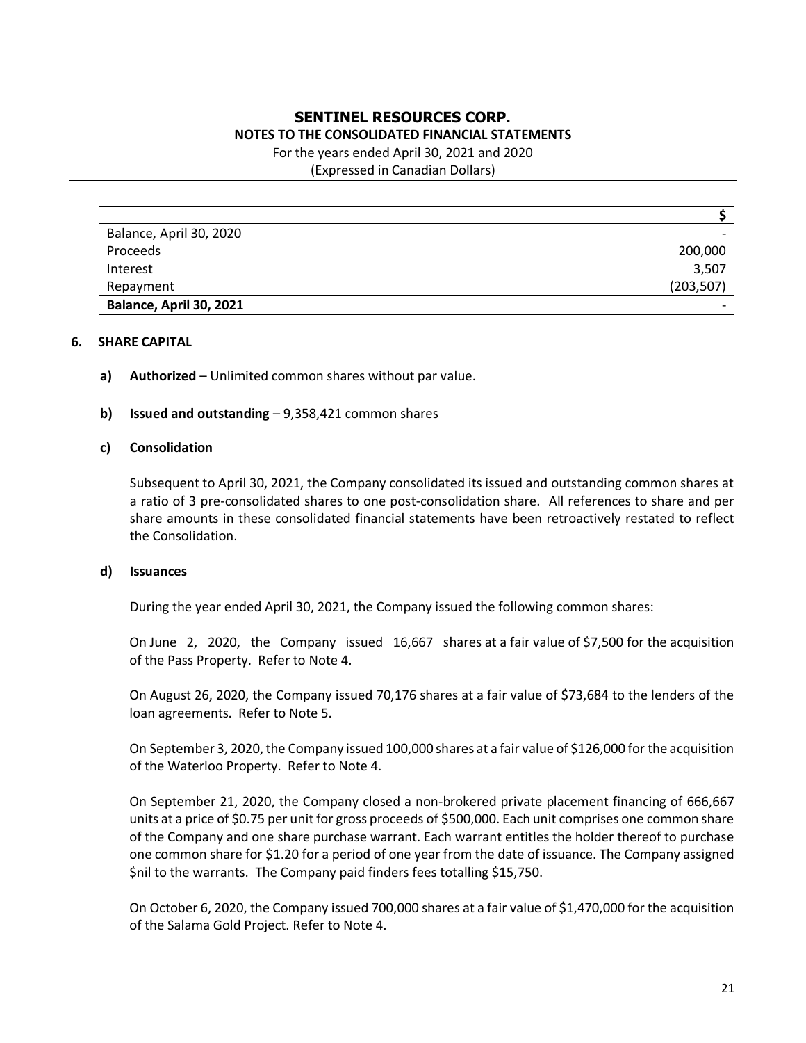For the years ended April 30, 2021 and 2020

(Expressed in Canadian Dollars)

| Balance, April 30, 2020 | $\overline{\phantom{0}}$ |
|-------------------------|--------------------------|
| Proceeds                | 200,000                  |
| Interest                | 3,507                    |
| Repayment               | (203, 507)               |
| Balance, April 30, 2021 | $\overline{\phantom{0}}$ |

### **6. SHARE CAPITAL**

- **a) Authorized** Unlimited common shares without par value.
- **b) Issued and outstanding** 9,358,421 common shares

## **c) Consolidation**

Subsequent to April 30, 2021, the Company consolidated its issued and outstanding common shares at a ratio of 3 pre-consolidated shares to one post-consolidation share. All references to share and per share amounts in these consolidated financial statements have been retroactively restated to reflect the Consolidation.

# **d) Issuances**

During the year ended April 30, 2021, the Company issued the following common shares:

On June 2, 2020, the Company issued 16,667 shares at a fair value of \$7,500 for the acquisition of the Pass Property. Refer to Note 4.

On August 26, 2020, the Company issued 70,176 shares at a fair value of \$73,684 to the lenders of the loan agreements. Refer to Note 5.

On September 3, 2020, the Company issued 100,000 shares at a fair value of \$126,000 for the acquisition of the Waterloo Property. Refer to Note 4.

On September 21, 2020, the Company closed a non-brokered private placement financing of 666,667 units at a price of \$0.75 per unit for gross proceeds of \$500,000. Each unit comprises one common share of the Company and one share purchase warrant. Each warrant entitles the holder thereof to purchase one common share for \$1.20 for a period of one year from the date of issuance. The Company assigned \$nil to the warrants. The Company paid finders fees totalling \$15,750.

On October 6, 2020, the Company issued 700,000 shares at a fair value of \$1,470,000 for the acquisition of the Salama Gold Project. Refer to Note 4.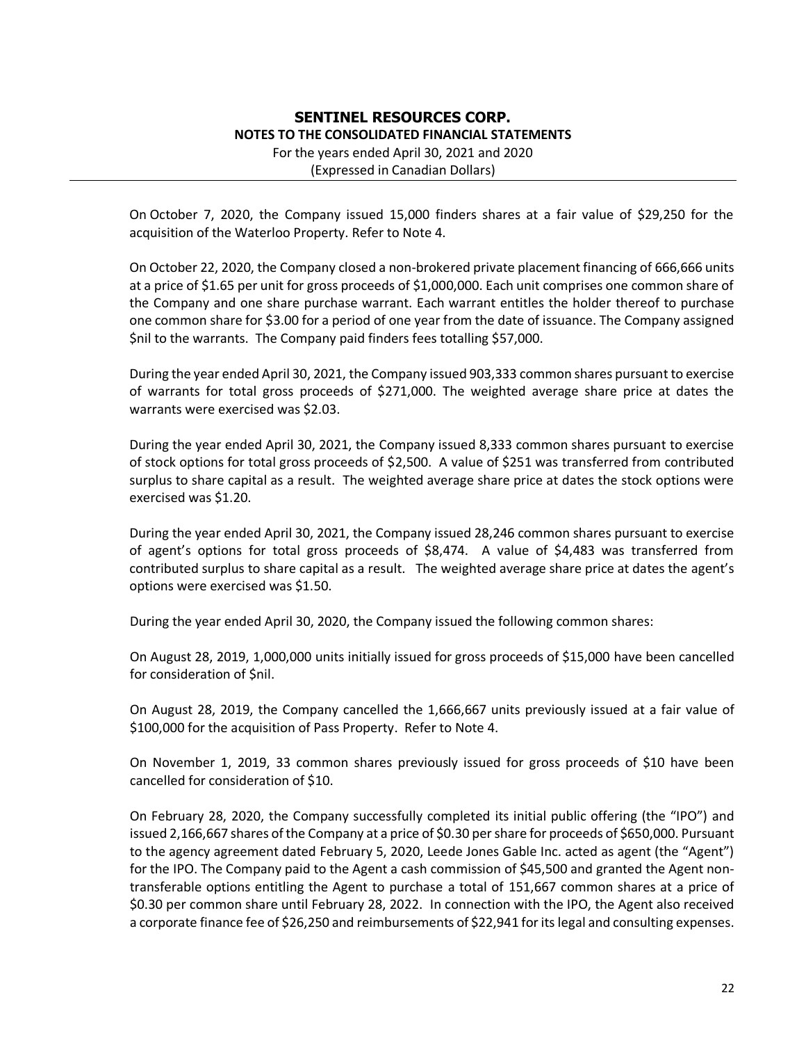For the years ended April 30, 2021 and 2020 (Expressed in Canadian Dollars)

On October 7, 2020, the Company issued 15,000 finders shares at a fair value of \$29,250 for the acquisition of the Waterloo Property. Refer to Note 4.

On October 22, 2020, the Company closed a non-brokered private placement financing of 666,666 units at a price of \$1.65 per unit for gross proceeds of \$1,000,000. Each unit comprises one common share of the Company and one share purchase warrant. Each warrant entitles the holder thereof to purchase one common share for \$3.00 for a period of one year from the date of issuance. The Company assigned \$nil to the warrants. The Company paid finders fees totalling \$57,000.

During the year ended April 30, 2021, the Company issued 903,333 common shares pursuant to exercise of warrants for total gross proceeds of \$271,000. The weighted average share price at dates the warrants were exercised was \$2.03.

During the year ended April 30, 2021, the Company issued 8,333 common shares pursuant to exercise of stock options for total gross proceeds of \$2,500. A value of \$251 was transferred from contributed surplus to share capital as a result. The weighted average share price at dates the stock options were exercised was \$1.20.

During the year ended April 30, 2021, the Company issued 28,246 common shares pursuant to exercise of agent's options for total gross proceeds of \$8,474. A value of \$4,483 was transferred from contributed surplus to share capital as a result. The weighted average share price at dates the agent's options were exercised was \$1.50.

During the year ended April 30, 2020, the Company issued the following common shares:

On August 28, 2019, 1,000,000 units initially issued for gross proceeds of \$15,000 have been cancelled for consideration of \$nil.

On August 28, 2019, the Company cancelled the 1,666,667 units previously issued at a fair value of \$100,000 for the acquisition of Pass Property. Refer to Note 4.

On November 1, 2019, 33 common shares previously issued for gross proceeds of \$10 have been cancelled for consideration of \$10.

On February 28, 2020, the Company successfully completed its initial public offering (the "IPO") and issued 2,166,667 shares of the Company at a price of \$0.30 per share for proceeds of \$650,000. Pursuant to the agency agreement dated February 5, 2020, Leede Jones Gable Inc. acted as agent (the "Agent") for the IPO. The Company paid to the Agent a cash commission of \$45,500 and granted the Agent nontransferable options entitling the Agent to purchase a total of 151,667 common shares at a price of \$0.30 per common share until February 28, 2022. In connection with the IPO, the Agent also received a corporate finance fee of \$26,250 and reimbursements of \$22,941 for its legal and consulting expenses.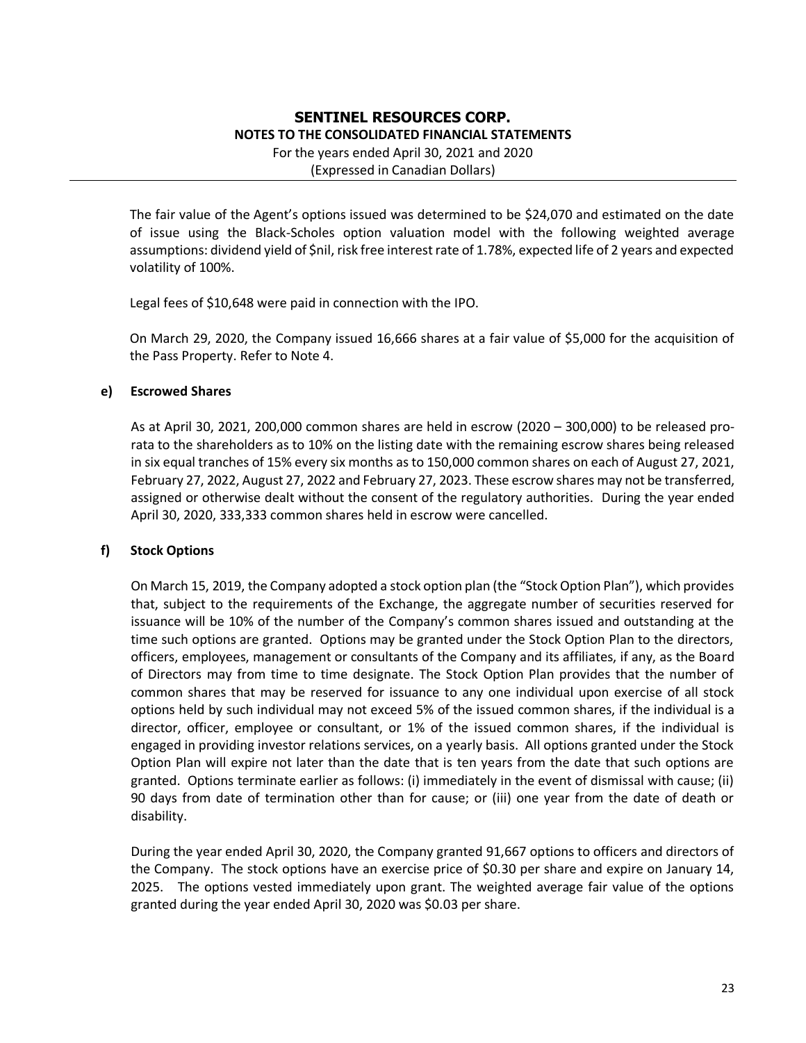For the years ended April 30, 2021 and 2020 (Expressed in Canadian Dollars)

The fair value of the Agent's options issued was determined to be \$24,070 and estimated on the date of issue using the Black-Scholes option valuation model with the following weighted average assumptions: dividend yield of \$nil, risk free interest rate of 1.78%, expected life of 2 years and expected volatility of 100%.

Legal fees of \$10,648 were paid in connection with the IPO.

On March 29, 2020, the Company issued 16,666 shares at a fair value of \$5,000 for the acquisition of the Pass Property. Refer to Note 4.

### **e) Escrowed Shares**

As at April 30, 2021, 200,000 common shares are held in escrow (2020 – 300,000) to be released prorata to the shareholders as to 10% on the listing date with the remaining escrow shares being released in six equal tranches of 15% every six months as to 150,000 common shares on each of August 27, 2021, February 27, 2022, August 27, 2022 and February 27, 2023. These escrow shares may not be transferred, assigned or otherwise dealt without the consent of the regulatory authorities. During the year ended April 30, 2020, 333,333 common shares held in escrow were cancelled.

### **f) Stock Options**

On March 15, 2019, the Company adopted a stock option plan (the "Stock Option Plan"), which provides that, subject to the requirements of the Exchange, the aggregate number of securities reserved for issuance will be 10% of the number of the Company's common shares issued and outstanding at the time such options are granted. Options may be granted under the Stock Option Plan to the directors, officers, employees, management or consultants of the Company and its affiliates, if any, as the Board of Directors may from time to time designate. The Stock Option Plan provides that the number of common shares that may be reserved for issuance to any one individual upon exercise of all stock options held by such individual may not exceed 5% of the issued common shares, if the individual is a director, officer, employee or consultant, or 1% of the issued common shares, if the individual is engaged in providing investor relations services, on a yearly basis. All options granted under the Stock Option Plan will expire not later than the date that is ten years from the date that such options are granted. Options terminate earlier as follows: (i) immediately in the event of dismissal with cause; (ii) 90 days from date of termination other than for cause; or (iii) one year from the date of death or disability.

During the year ended April 30, 2020, the Company granted 91,667 options to officers and directors of the Company. The stock options have an exercise price of \$0.30 per share and expire on January 14, 2025. The options vested immediately upon grant. The weighted average fair value of the options granted during the year ended April 30, 2020 was \$0.03 per share.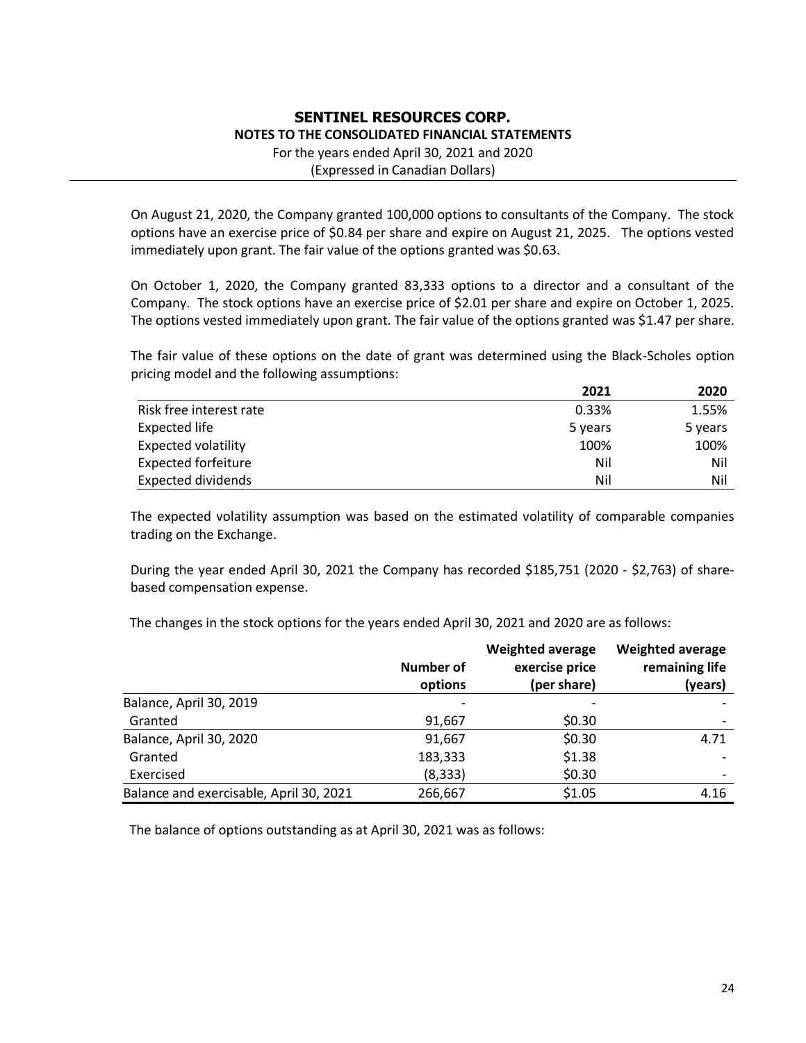For the years ended April 30, 2021 and 2020 (Expressed in Canadian Dollars)

On August 21, 2020, the Company granted 100,000 options to consultants of the Company. The stock options have an exercise price of \$0.84 per share and expire on August 21, 2025. The options vested immediately upon grant. The fair value of the options granted was \$0.63.

On October 1, 2020, the Company granted 83,333 options to a director and a consultant of the Company. The stock options have an exercise price of \$2.01 per share and expire on October 1, 2025. The options vested immediately upon grant. The fair value of the options granted was \$1.47 per share.

The fair value of these options on the date of grant was determined using the Black-Scholes option pricing model and the following assumptions:

|                            | 2021    | 2020    |
|----------------------------|---------|---------|
| Risk free interest rate    | 0.33%   | 1.55%   |
| Expected life              | 5 years | 5 years |
| <b>Expected volatility</b> | 100%    | 100%    |
| <b>Expected forfeiture</b> | Nil     | Nil     |
| <b>Expected dividends</b>  | Nil     | Nil     |

The expected volatility assumption was based on the estimated volatility of comparable companies trading on the Exchange.

During the year ended April 30, 2021 the Company has recorded \$185,751 (2020 - \$2,763) of sharebased compensation expense.

The changes in the stock options for the years ended April 30, 2021 and 2020 are as follows:

|                                         | Number of<br>options | <b>Weighted average</b><br>exercise price<br>(per share) | <b>Weighted average</b><br>remaining life<br>(years) |
|-----------------------------------------|----------------------|----------------------------------------------------------|------------------------------------------------------|
| Balance, April 30, 2019                 |                      |                                                          |                                                      |
| Granted                                 | 91,667               | \$0.30                                                   |                                                      |
| Balance, April 30, 2020                 | 91,667               | \$0.30                                                   | 4.71                                                 |
| Granted                                 | 183,333              | \$1.38                                                   |                                                      |
| Exercised                               | (8, 333)             | \$0.30                                                   |                                                      |
| Balance and exercisable, April 30, 2021 | 266,667              | \$1.05                                                   | 4.16                                                 |

The balance of options outstanding as at April 30, 2021 was as follows: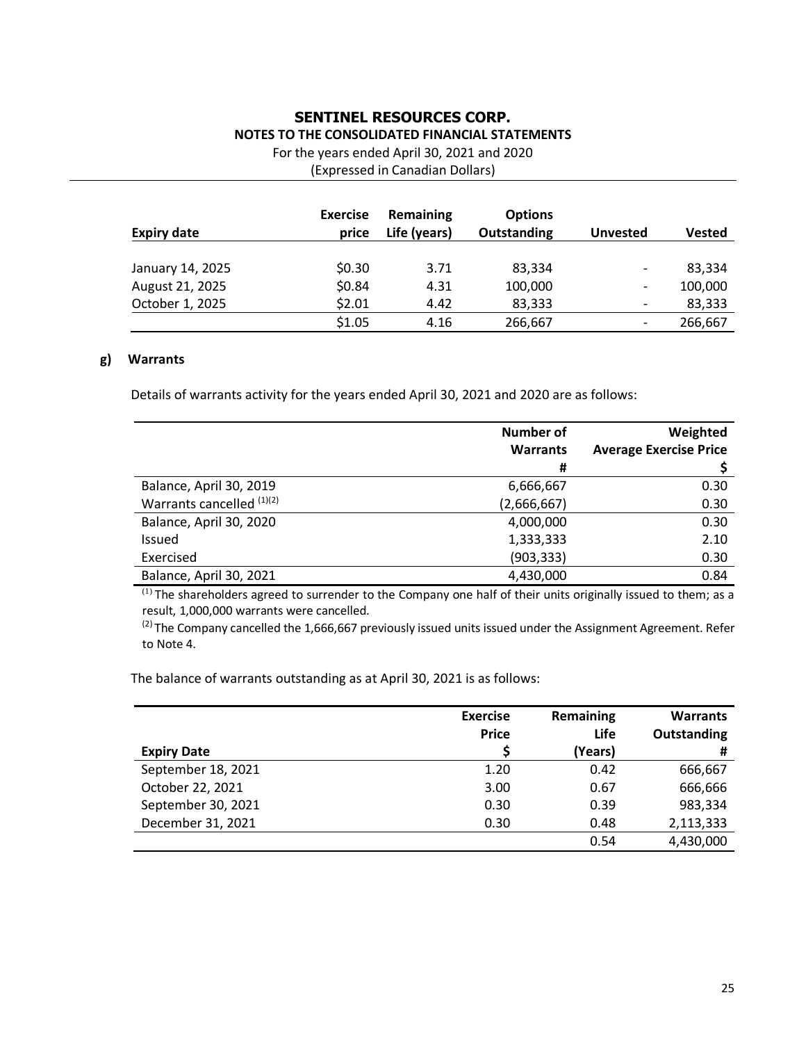For the years ended April 30, 2021 and 2020 (Expressed in Canadian Dollars)

| <b>Expiry date</b> | <b>Exercise</b><br>price | Remaining<br>Life (years) | <b>Options</b><br><b>Outstanding</b> | <b>Unvested</b>          | <b>Vested</b> |
|--------------------|--------------------------|---------------------------|--------------------------------------|--------------------------|---------------|
|                    |                          |                           |                                      |                          |               |
| January 14, 2025   | \$0.30                   | 3.71                      | 83,334                               | $\overline{\phantom{a}}$ | 83,334        |
| August 21, 2025    | \$0.84                   | 4.31                      | 100,000                              | -                        | 100,000       |
| October 1, 2025    | \$2.01                   | 4.42                      | 83,333                               | $\overline{\phantom{a}}$ | 83,333        |
|                    | \$1.05                   | 4.16                      | 266,667                              | $\overline{\phantom{a}}$ | 266,667       |

### **g) Warrants**

Details of warrants activity for the years ended April 30, 2021 and 2020 are as follows:

|                           | <b>Number of</b> | Weighted                      |
|---------------------------|------------------|-------------------------------|
|                           | <b>Warrants</b>  | <b>Average Exercise Price</b> |
|                           | Ħ                |                               |
| Balance, April 30, 2019   | 6,666,667        | 0.30                          |
| Warrants cancelled (1)(2) | (2,666,667)      | 0.30                          |
| Balance, April 30, 2020   | 4,000,000        | 0.30                          |
| <b>Issued</b>             | 1,333,333        | 2.10                          |
| Exercised                 | (903, 333)       | 0.30                          |
| Balance, April 30, 2021   | 4,430,000        | 0.84                          |

 $(1)$  The shareholders agreed to surrender to the Company one half of their units originally issued to them; as a result, 1,000,000 warrants were cancelled.

<sup>(2)</sup> The Company cancelled the 1,666,667 previously issued units issued under the Assignment Agreement. Refer to Note 4.

The balance of warrants outstanding as at April 30, 2021 is as follows:

|                    | <b>Exercise</b><br><b>Price</b> | Remaining<br>Life | <b>Warrants</b><br>Outstanding |
|--------------------|---------------------------------|-------------------|--------------------------------|
| <b>Expiry Date</b> | S                               | (Years)           | #                              |
| September 18, 2021 | 1.20                            | 0.42              | 666,667                        |
| October 22, 2021   | 3.00                            | 0.67              | 666,666                        |
| September 30, 2021 | 0.30                            | 0.39              | 983,334                        |
| December 31, 2021  | 0.30                            | 0.48              | 2,113,333                      |
|                    |                                 | 0.54              | 4,430,000                      |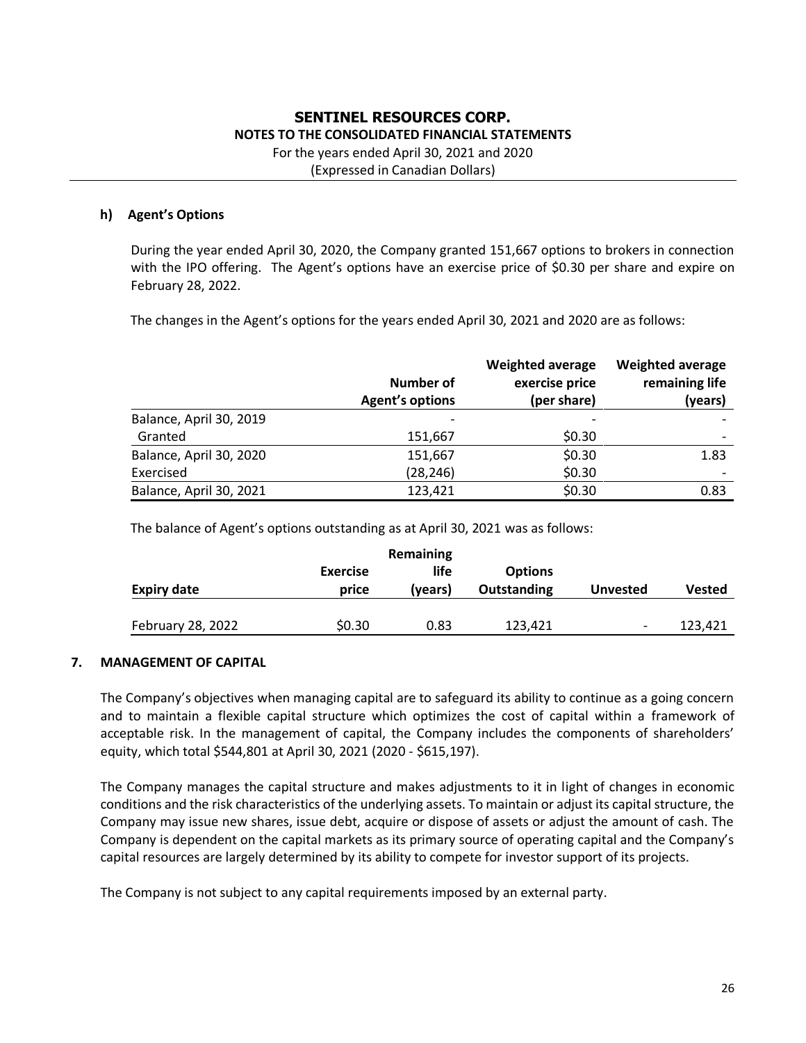For the years ended April 30, 2021 and 2020 (Expressed in Canadian Dollars)

### **h) Agent's Options**

During the year ended April 30, 2020, the Company granted 151,667 options to brokers in connection with the IPO offering. The Agent's options have an exercise price of \$0.30 per share and expire on February 28, 2022.

The changes in the Agent's options for the years ended April 30, 2021 and 2020 are as follows:

|                         | <b>Number of</b>       | <b>Weighted average</b><br>exercise price | <b>Weighted average</b><br>remaining life |
|-------------------------|------------------------|-------------------------------------------|-------------------------------------------|
|                         | <b>Agent's options</b> | (per share)                               | (years)                                   |
| Balance, April 30, 2019 |                        |                                           |                                           |
| Granted                 | 151,667                | \$0.30                                    |                                           |
| Balance, April 30, 2020 | 151,667                | \$0.30                                    | 1.83                                      |
| Exercised               | (28, 246)              | \$0.30                                    |                                           |
| Balance, April 30, 2021 | 123,421                | \$0.30                                    | 0.83                                      |

The balance of Agent's options outstanding as at April 30, 2021 was as follows:

|                    |                 | Remaining |                    |                          |               |
|--------------------|-----------------|-----------|--------------------|--------------------------|---------------|
|                    | <b>Exercise</b> | life      | <b>Options</b>     |                          |               |
| <b>Expiry date</b> | price           | (vears)   | <b>Outstanding</b> | <b>Unvested</b>          | <b>Vested</b> |
|                    |                 |           |                    |                          |               |
| February 28, 2022  | \$0.30          | 0.83      | 123,421            | $\overline{\phantom{a}}$ | 123.421       |

### **7. MANAGEMENT OF CAPITAL**

The Company's objectives when managing capital are to safeguard its ability to continue as a going concern and to maintain a flexible capital structure which optimizes the cost of capital within a framework of acceptable risk. In the management of capital, the Company includes the components of shareholders' equity, which total \$544,801 at April 30, 2021 (2020 - \$615,197).

The Company manages the capital structure and makes adjustments to it in light of changes in economic conditions and the risk characteristics of the underlying assets. To maintain or adjust its capital structure, the Company may issue new shares, issue debt, acquire or dispose of assets or adjust the amount of cash. The Company is dependent on the capital markets as its primary source of operating capital and the Company's capital resources are largely determined by its ability to compete for investor support of its projects.

The Company is not subject to any capital requirements imposed by an external party.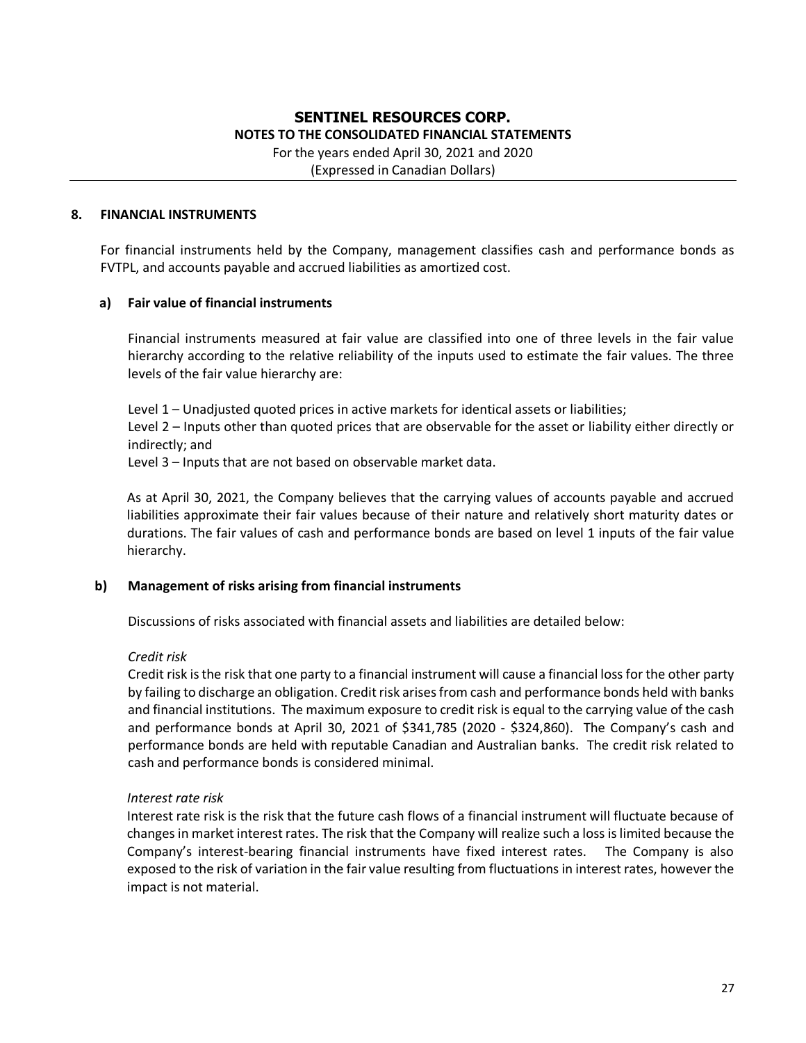For the years ended April 30, 2021 and 2020 (Expressed in Canadian Dollars)

### **8. FINANCIAL INSTRUMENTS**

For financial instruments held by the Company, management classifies cash and performance bonds as FVTPL, and accounts payable and accrued liabilities as amortized cost.

### **a) Fair value of financial instruments**

Financial instruments measured at fair value are classified into one of three levels in the fair value hierarchy according to the relative reliability of the inputs used to estimate the fair values. The three levels of the fair value hierarchy are:

Level 1 – Unadjusted quoted prices in active markets for identical assets or liabilities;

Level 2 – Inputs other than quoted prices that are observable for the asset or liability either directly or indirectly; and

Level 3 – Inputs that are not based on observable market data.

As at April 30, 2021, the Company believes that the carrying values of accounts payable and accrued liabilities approximate their fair values because of their nature and relatively short maturity dates or durations. The fair values of cash and performance bonds are based on level 1 inputs of the fair value hierarchy.

### **b) Management of risks arising from financial instruments**

Discussions of risks associated with financial assets and liabilities are detailed below:

#### *Credit risk*

Credit risk is the risk that one party to a financial instrument will cause a financial loss for the other party by failing to discharge an obligation. Credit risk arises from cash and performance bonds held with banks and financial institutions. The maximum exposure to credit risk is equal to the carrying value of the cash and performance bonds at April 30, 2021 of \$341,785 (2020 - \$324,860). The Company's cash and performance bonds are held with reputable Canadian and Australian banks. The credit risk related to cash and performance bonds is considered minimal.

#### *Interest rate risk*

Interest rate risk is the risk that the future cash flows of a financial instrument will fluctuate because of changes in market interest rates. The risk that the Company will realize such a loss is limited because the Company's interest-bearing financial instruments have fixed interest rates. The Company is also exposed to the risk of variation in the fair value resulting from fluctuations in interest rates, however the impact is not material.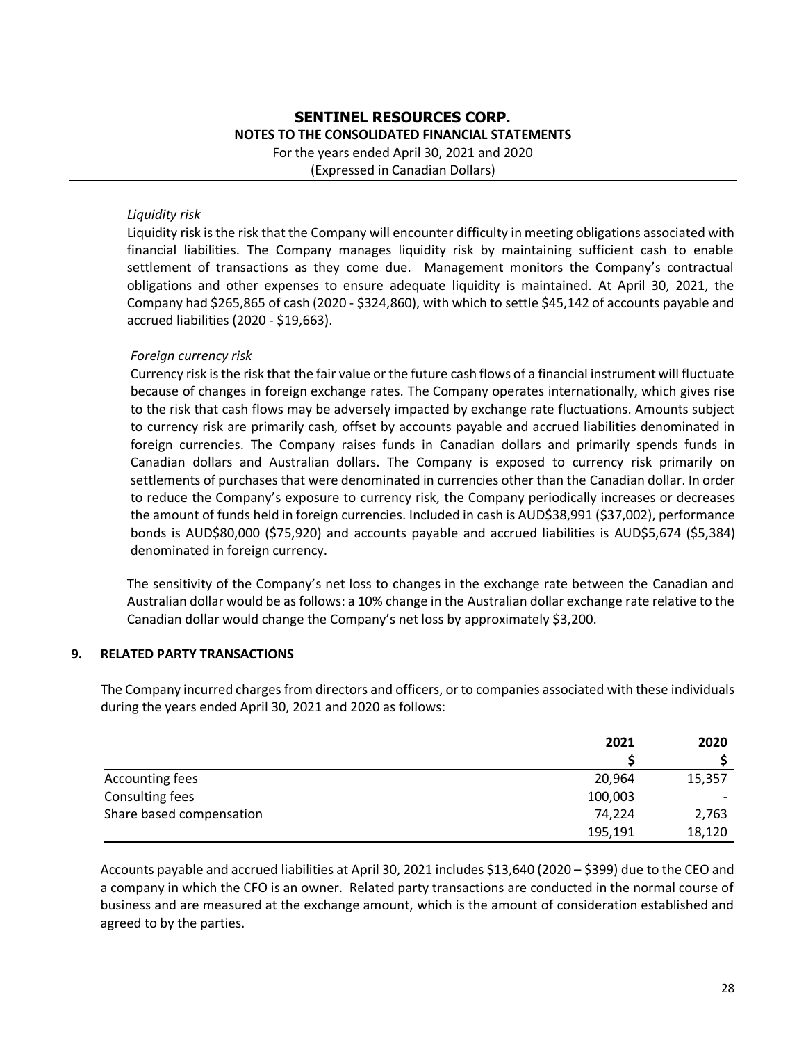# **SENTINEL RESOURCES CORP. NOTES TO THE CONSOLIDATED FINANCIAL STATEMENTS** For the years ended April 30, 2021 and 2020

(Expressed in Canadian Dollars)

### *Liquidity risk*

Liquidity risk is the risk that the Company will encounter difficulty in meeting obligations associated with financial liabilities. The Company manages liquidity risk by maintaining sufficient cash to enable settlement of transactions as they come due. Management monitors the Company's contractual obligations and other expenses to ensure adequate liquidity is maintained. At April 30, 2021, the Company had \$265,865 of cash (2020 - \$324,860), with which to settle \$45,142 of accounts payable and accrued liabilities (2020 - \$19,663).

## *Foreign currency risk*

Currency risk is the risk that the fair value or the future cash flows of a financial instrument will fluctuate because of changes in foreign exchange rates. The Company operates internationally, which gives rise to the risk that cash flows may be adversely impacted by exchange rate fluctuations. Amounts subject to currency risk are primarily cash, offset by accounts payable and accrued liabilities denominated in foreign currencies. The Company raises funds in Canadian dollars and primarily spends funds in Canadian dollars and Australian dollars. The Company is exposed to currency risk primarily on settlements of purchases that were denominated in currencies other than the Canadian dollar. In order to reduce the Company's exposure to currency risk, the Company periodically increases or decreases the amount of funds held in foreign currencies. Included in cash is AUD\$38,991 (\$37,002), performance bonds is AUD\$80,000 (\$75,920) and accounts payable and accrued liabilities is AUD\$5,674 (\$5,384) denominated in foreign currency.

The sensitivity of the Company's net loss to changes in the exchange rate between the Canadian and Australian dollar would be as follows: a 10% change in the Australian dollar exchange rate relative to the Canadian dollar would change the Company's net loss by approximately \$3,200.

# **9. RELATED PARTY TRANSACTIONS**

The Company incurred charges from directors and officers, or to companies associated with these individuals during the years ended April 30, 2021 and 2020 as follows:

|                          | 2021    | 2020   |
|--------------------------|---------|--------|
|                          |         |        |
| Accounting fees          | 20,964  | 15,357 |
| Consulting fees          | 100,003 |        |
| Share based compensation | 74,224  | 2,763  |
|                          | 195,191 | 18,120 |

Accounts payable and accrued liabilities at April 30, 2021 includes \$13,640 (2020 – \$399) due to the CEO and a company in which the CFO is an owner. Related party transactions are conducted in the normal course of business and are measured at the exchange amount, which is the amount of consideration established and agreed to by the parties.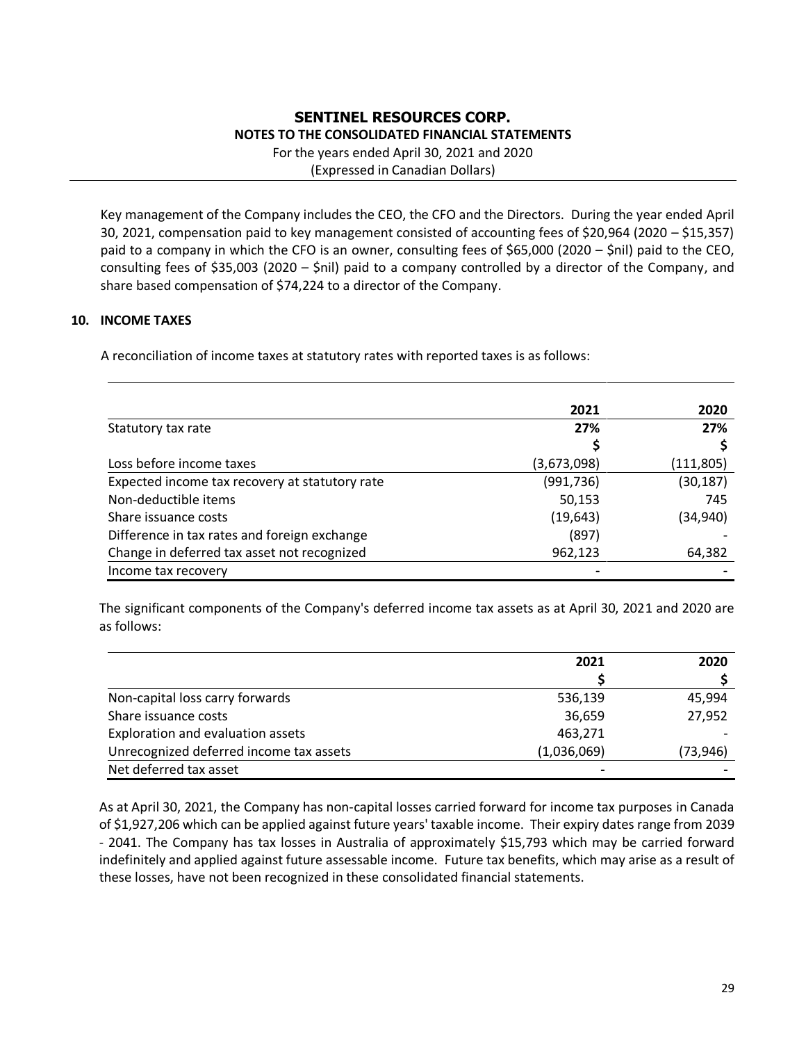For the years ended April 30, 2021 and 2020 (Expressed in Canadian Dollars)

Key management of the Company includes the CEO, the CFO and the Directors. During the year ended April 30, 2021, compensation paid to key management consisted of accounting fees of \$20,964 (2020 – \$15,357) paid to a company in which the CFO is an owner, consulting fees of \$65,000 (2020 – \$nil) paid to the CEO, consulting fees of \$35,003 (2020 – \$nil) paid to a company controlled by a director of the Company, and share based compensation of \$74,224 to a director of the Company.

## **10. INCOME TAXES**

A reconciliation of income taxes at statutory rates with reported taxes is as follows:

|                                                | 2021        | 2020      |
|------------------------------------------------|-------------|-----------|
| Statutory tax rate                             | 27%         | 27%       |
|                                                |             |           |
| Loss before income taxes                       | (3,673,098) | (111,805) |
| Expected income tax recovery at statutory rate | (991, 736)  | (30,187)  |
| Non-deductible items                           | 50,153      | 745       |
| Share issuance costs                           | (19, 643)   | (34, 940) |
| Difference in tax rates and foreign exchange   | (897)       |           |
| Change in deferred tax asset not recognized    | 962,123     | 64,382    |
| Income tax recovery                            |             |           |

The significant components of the Company's deferred income tax assets as at April 30, 2021 and 2020 are as follows:

|                                         | 2021        | 2020      |
|-----------------------------------------|-------------|-----------|
|                                         |             |           |
| Non-capital loss carry forwards         | 536,139     | 45,994    |
| Share issuance costs                    | 36,659      | 27,952    |
| Exploration and evaluation assets       | 463,271     |           |
| Unrecognized deferred income tax assets | (1,036,069) | (73, 946) |
| Net deferred tax asset                  |             |           |

As at April 30, 2021, the Company has non-capital losses carried forward for income tax purposes in Canada of \$1,927,206 which can be applied against future years' taxable income. Their expiry dates range from 2039 - 2041. The Company has tax losses in Australia of approximately \$15,793 which may be carried forward indefinitely and applied against future assessable income. Future tax benefits, which may arise as a result of these losses, have not been recognized in these consolidated financial statements.